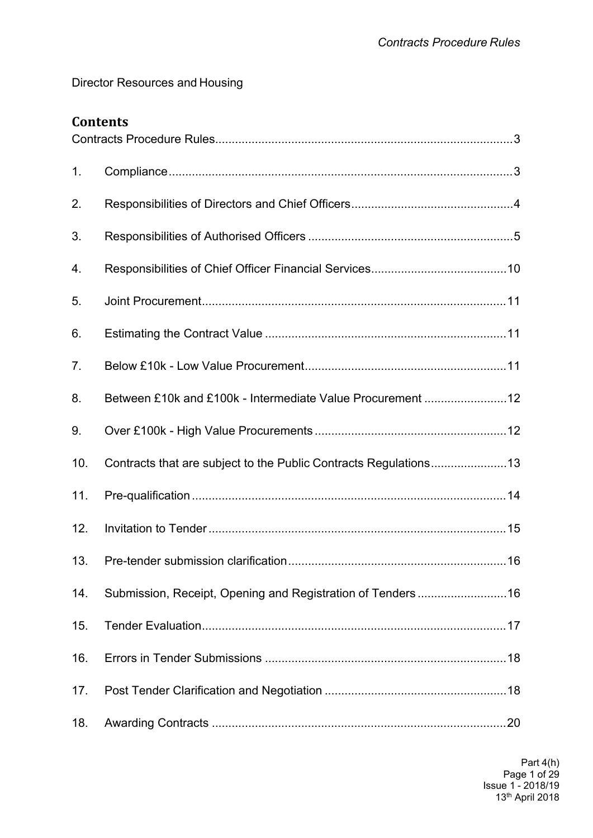Director Resources and Housing

# **Contents**

| 1.  |                                                                  |  |
|-----|------------------------------------------------------------------|--|
| 2.  |                                                                  |  |
| 3.  |                                                                  |  |
| 4.  |                                                                  |  |
| 5.  |                                                                  |  |
| 6.  |                                                                  |  |
| 7.  |                                                                  |  |
| 8.  |                                                                  |  |
| 9.  |                                                                  |  |
| 10. | Contracts that are subject to the Public Contracts Regulations13 |  |
| 11. |                                                                  |  |
| 12. |                                                                  |  |
| 13. |                                                                  |  |
| 14. |                                                                  |  |
| 15. |                                                                  |  |
| 16. |                                                                  |  |
| 17. |                                                                  |  |
| 18. |                                                                  |  |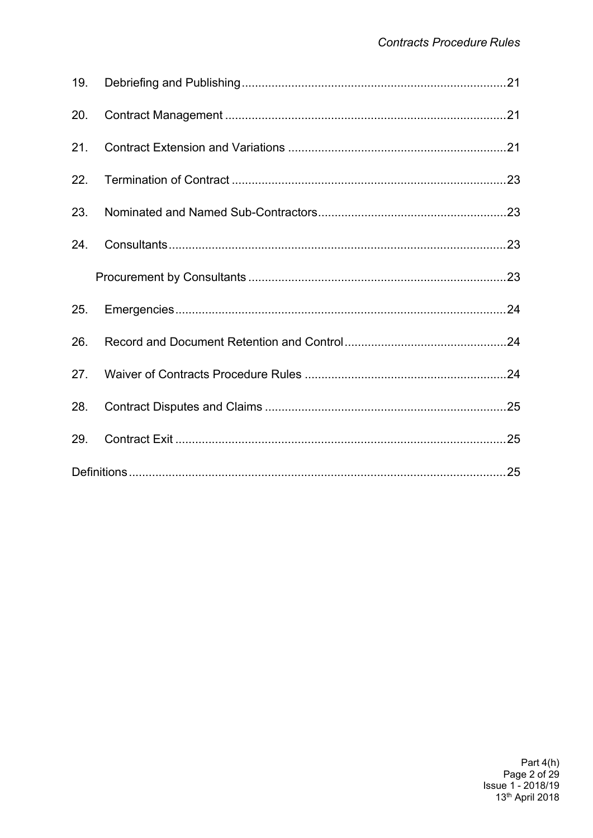| 20. |  |
|-----|--|
| 21. |  |
|     |  |
| 23. |  |
|     |  |
|     |  |
|     |  |
| 26. |  |
|     |  |
| 28. |  |
| 29. |  |
|     |  |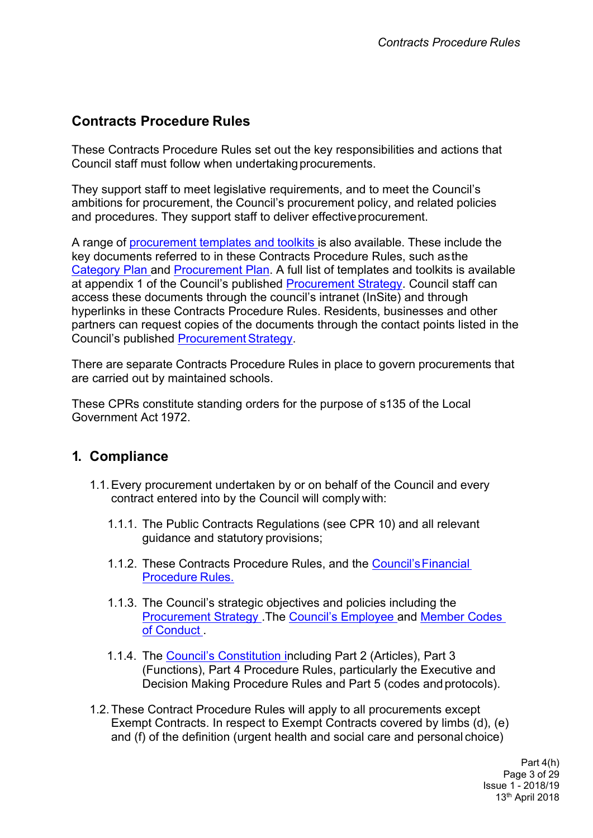# <span id="page-2-0"></span>**Contracts Procedure Rules**

These Contracts Procedure Rules set out the key responsibilities and actions that Council staff must follow when undertaking procurements.

They support staff to meet legislative requirements, and to meet the Council's ambitions for procurement, the Council's procurement policy, and related policies and procedures. They support staff to deliver effective procurement.

A range of [procurement](http://insite.leeds.gov.uk/DoItOnline/Pages/default.aspx?cat=Procuring%20and%20managing%20a%20contract) templates and toolkits is also available. These include the key documents referred to in these Contracts Procedure Rules, such asthe [Category](http://insite.leeds.gov.uk/DoItOnline/Pages/Default.aspx?cat=Procuring%20and%20managing%20a%20contract) Plan and [Procurement](http://insite.leeds.gov.uk/DoItOnline/Pages/Default.aspx?cat=Procuring%20and%20managing%20a%20contract) Plan. A full list of templates and toolkits is available at appendix 1 of the Council's published [Procurement](http://www.leeds.gov.uk/docs/Procurement%20Strategy%20V1.0%20PUBLISH%2030.09.2013.pdf) Strategy. Council staff can access these documents through the council's intranet (InSite) and through hyperlinks in these Contracts Procedure Rules. Residents, businesses and other partners can request copies of the documents through the contact points listed in the Council's published Procurement Strategy.

There are separate Contracts Procedure Rules in place to govern procurements that are carried out by maintained schools.

These CPRs constitute standing orders for the purpose of s135 of the Local Government Act 1972.

## <span id="page-2-1"></span>**1. Compliance**

- 1.1.Every procurement undertaken by or on behalf of the Council and every contract entered into by the Council will comply with:
	- 1.1.1. The Public Contracts Regulations (see CPR 10) and all relevant guidance and statutory provisions;
	- 1.1.2. These Contracts Procedure Rules, and the [Council'sFinancial](http://insite.leeds.gov.uk/PoliciesAndProcedures/Documents/Financial%20Regulations.pdf) [Procedure](http://insite.leeds.gov.uk/PoliciesAndProcedures/Documents/Financial%20Regulations.pdf) Rules.
	- 1.1.3. The Council's strategic objectives and policies including the [Procurement](http://www.leeds.gov.uk/docs/Procurement%20Strategy%20V1.0%20PUBLISH%2030.09.2013.pdf) Strategy .The Council's [Employee](http://insite.leeds.gov.uk/PoliciesAndProcedures/Documents/Employee%20code%20of%20conduct.pdf) and [Member](http://insite.leeds.gov.uk/Root%20document%20library/Part%205%20a%20Members%20Code%20of%20Conduct%20Issue%201%20-%2027th%20February%202013.pdf) Codes of [Conduct](http://insite.leeds.gov.uk/Root%20document%20library/Part%205%20a%20Members%20Code%20of%20Conduct%20Issue%201%20-%2027th%20February%202013.pdf) .
	- 1.1.4. The Council's [Constitution](http://www.leeds.gov.uk/council/Pages/Constitution.aspx) including Part 2 (Articles), Part 3 (Functions), Part 4 Procedure Rules, particularly the Executive and Decision Making Procedure Rules and Part 5 (codes andprotocols).
- 1.2.These Contract Procedure Rules will apply to all procurements except Exempt Contracts. In respect to Exempt Contracts covered by limbs (d), (e) and (f) of the definition (urgent health and social care and personal choice)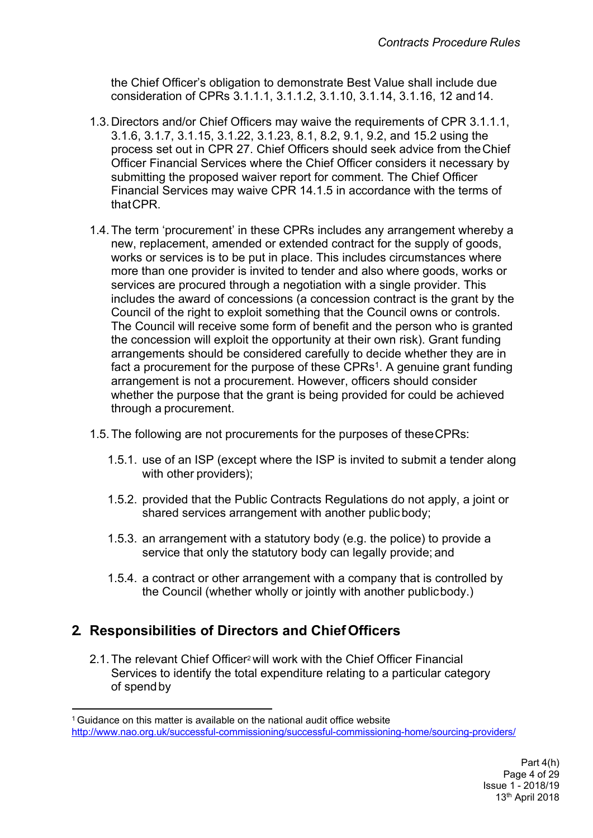the Chief Officer's obligation to demonstrate Best Value shall include due consideration of CPRs 3.1.1.1, 3.1.1.2, 3.1.10, 3.1.14, 3.1.16, 12 and14.

- 1.3. Directors and/or Chief Officers may waive the requirements of CPR 3.1.1.1, 3.1.6, 3.1.7, 3.1.15, 3.1.22, 3.1.23, 8.1, 8.2, 9.1, 9.2, and 15.2 using the process set out in CPR 27. Chief Officers should seek advice from theChief Officer Financial Services where the Chief Officer considers it necessary by submitting the proposed waiver report for comment. The Chief Officer Financial Services may waive CPR 14.1.5 in accordance with the terms of thatCPR.
- 1.4.The term 'procurement' in these CPRs includes any arrangement whereby a new, replacement, amended or extended contract for the supply of goods, works or services is to be put in place. This includes circumstances where more than one provider is invited to tender and also where goods, works or services are procured through a negotiation with a single provider. This includes the award of concessions (a concession contract is the grant by the Council of the right to exploit something that the Council owns or controls. The Council will receive some form of benefit and the person who is granted the concession will exploit the opportunity at their own risk). Grant funding arrangements should be considered carefully to decide whether they are in fact a procurement for the purpose of these CPRs<sup>1</sup>. A genuine grant funding arrangement is not a procurement. However, officers should consider whether the purpose that the grant is being provided for could be achieved through a procurement.
- 1.5.The following are not procurements for the purposes of theseCPRs:
	- 1.5.1. use of an ISP (except where the ISP is invited to submit a tender along with other providers);
	- 1.5.2. provided that the Public Contracts Regulations do not apply, a joint or shared services arrangement with another public body;
	- 1.5.3. an arrangement with a statutory body (e.g. the police) to provide a service that only the statutory body can legally provide; and
	- 1.5.4. a contract or other arrangement with a company that is controlled by the Council (whether wholly or jointly with another publicbody.)

# <span id="page-3-0"></span>**2. Responsibilities of Directors and ChiefOfficers**

2.1.The relevant Chief Officer<sup>2</sup> will work with the Chief Officer Financial Services to identify the total expenditure relating to a particular category of spendby

<sup>&</sup>lt;sup>1</sup> Guidance on this matter is available on the national audit office website <http://www.nao.org.uk/successful-commissioning/successful-commissioning-home/sourcing-providers/>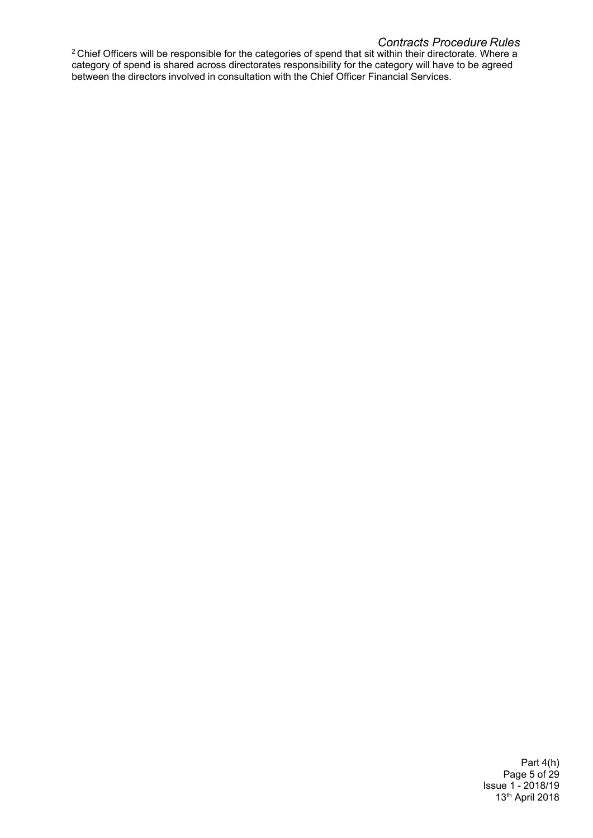#### *Contracts Procedure Rules*

 $2$  Chief Officers will be responsible for the categories of spend that sit within their directorate. Where a category of spend is shared across directorates responsibility for the category will have to be agreed between the directors involved in consultation with the Chief Officer Financial Services.

> Part 4(h) Page 5 of 29 Issue 1 - 2018/19 13th April 2018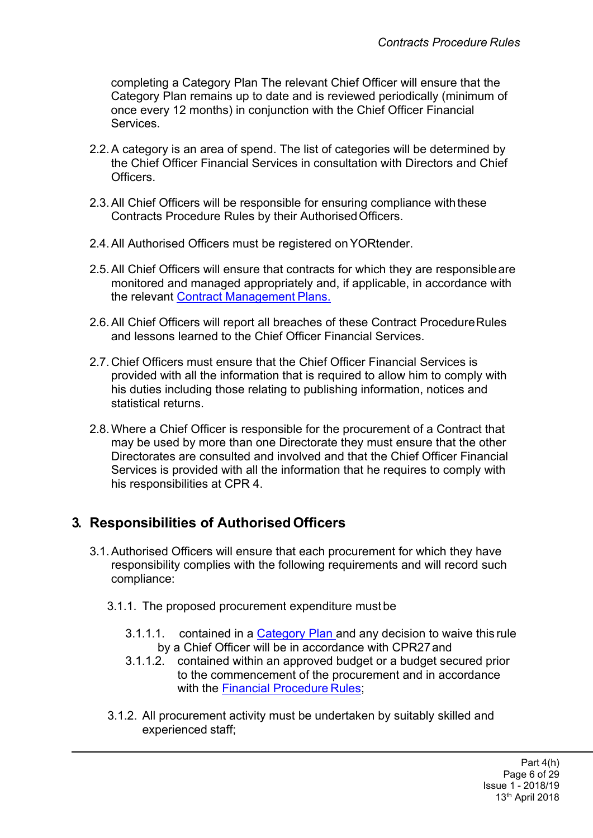completing a [Category](http://insite.leeds.gov.uk/DoItOnline/Pages/Forms-and-guidance.aspx?cat=Procuring%20and%20managing%20a%20contract) Plan The relevant Chief Officer will ensure that the [Category](http://insite.leeds.gov.uk/DoItOnline/Pages/Default.aspx?cat=Procuring%20and%20managing%20a%20contract) Plan remains up to date and is reviewed periodically (minimum of once every 12 months) in conjunction with the Chief Officer Financial **Services** 

- 2.2.A category is an area of spend. The list of categories will be determined by the Chief Officer Financial Services in consultation with Directors and Chief Officers.
- 2.3.All Chief Officers will be responsible for ensuring compliance with these Contracts Procedure Rules by their AuthorisedOfficers.
- 2.4.All Authorised Officers must be registered onYORtender.
- 2.5.All Chief Officers will ensure that contracts for which they are responsibleare monitored and managed appropriately and, if applicable, in accordance with the relevant Contract [Management](http://insite.leeds.gov.uk/DoItOnline/Pages/Forms-and-guidance.aspx?cat=Procuring%20and%20managing%20a%20contract) Plans.
- 2.6.All Chief Officers will report all breaches of these Contract ProcedureRules and lessons learned to the Chief Officer Financial Services.
- 2.7. Chief Officers must ensure that the Chief Officer Financial Services is provided with all the information that is required to allow him to comply with his duties including those relating to publishing information, notices and statistical returns.
- 2.8.Where a Chief Officer is responsible for the procurement of a Contract that may be used by more than one Directorate they must ensure that the other Directorates are consulted and involved and that the Chief Officer Financial Services is provided with all the information that he requires to comply with his responsibilities at CPR 4.

## <span id="page-5-0"></span>**3. Responsibilities of Authorised Officers**

- 3.1.Authorised Officers will ensure that each procurement for which they have responsibility complies with the following requirements and will record such compliance:
	- 3.1.1. The proposed procurement expenditure must be
		- 3.1.1.1. contained in a [Category](http://insite.leeds.gov.uk/DoItOnline/Pages/Default.aspx?cat=Procuring%20and%20managing%20a%20contract) Plan and any decision to waive this rule by a Chief Officer will be in accordance with CPR27and
		- 3.1.1.2. contained within an approved budget or a budget secured prior to the commencement of the procurement and in accordance with the Financial [Procedure](http://insite.leeds.gov.uk/PoliciesAndProcedures/Documents/Financial%20Regulations.pdf) Rules;
	- 3.1.2. All procurement activity must be undertaken by suitably skilled and experienced staff;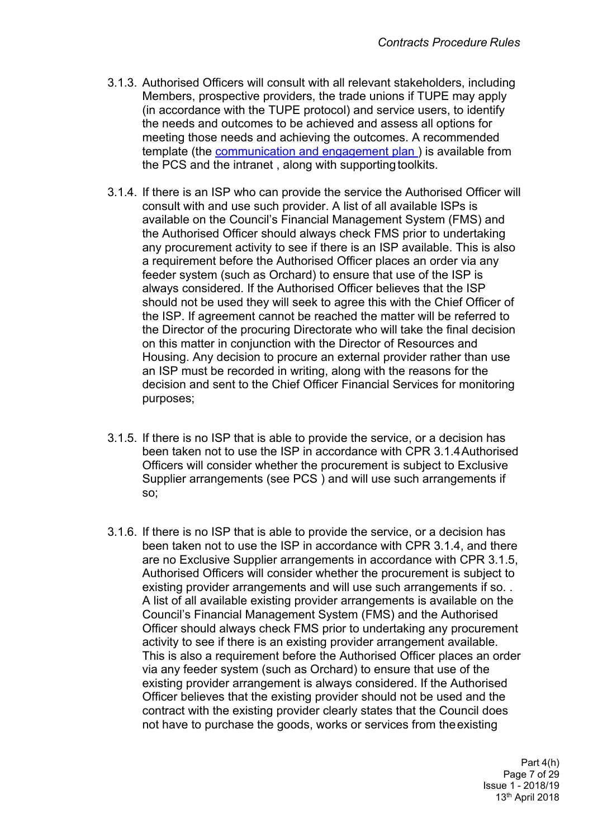- 3.1.3. Authorised Officers will consult with all relevant stakeholders, including Members, prospective providers, the trade unions if TUPE may apply (in accordance with the TUPE protocol) and service users, to identify the needs and outcomes to be achieved and assess all options for meeting those needs and achieving the outcomes. A recommended template (the [communication](http://insite.leeds.gov.uk/DoItOnline/Pages/Forms-and-guidance.aspx?cat=Procuring%20and%20managing%20a%20contract) and engagement plan ) is available from the PCS and the intranet, along with supporting toolkits.
- 3.1.4. If there is an ISP who can provide the service the Authorised Officer will consult with and use such provider. A list of all available ISPs is available on the Council's Financial Management System (FMS) and the Authorised Officer should always check FMS prior to undertaking any procurement activity to see if there is an ISP available. This is also a requirement before the Authorised Officer places an order via any feeder system (such as Orchard) to ensure that use of the ISP is always considered. If the Authorised Officer believes that the ISP should not be used they will seek to agree this with the Chief Officer of the ISP. If agreement cannot be reached the matter will be referred to the Director of the procuring Directorate who will take the final decision on this matter in conjunction with the Director of Resources and Housing. Any decision to procure an external provider rather than use an ISP must be recorded in writing, along with the reasons for the decision and sent to the Chief Officer Financial Services for monitoring purposes;
- 3.1.5. If there is no ISP that is able to provide the service, or a decision has been taken not to use the ISP in accordance with CPR 3.1.4Authorised Officers will consider whether the procurement is subject to Exclusive Supplier arrangements (see PCS ) and will use such arrangements if so;
- 3.1.6. If there is no ISP that is able to provide the service, or a decision has been taken not to use the ISP in accordance with CPR 3.1.4, and there are no Exclusive Supplier arrangements in accordance with CPR 3.1.5, Authorised Officers will consider whether the procurement is subject to existing provider arrangements and will use such arrangements if so. . A list of all available existing provider arrangements is available on the Council's Financial Management System (FMS) and the Authorised Officer should always check FMS prior to undertaking any procurement activity to see if there is an existing provider arrangement available. This is also a requirement before the Authorised Officer places an order via any feeder system (such as Orchard) to ensure that use of the existing provider arrangement is always considered. If the Authorised Officer believes that the existing provider should not be used and the contract with the existing provider clearly states that the Council does not have to purchase the goods, works or services from theexisting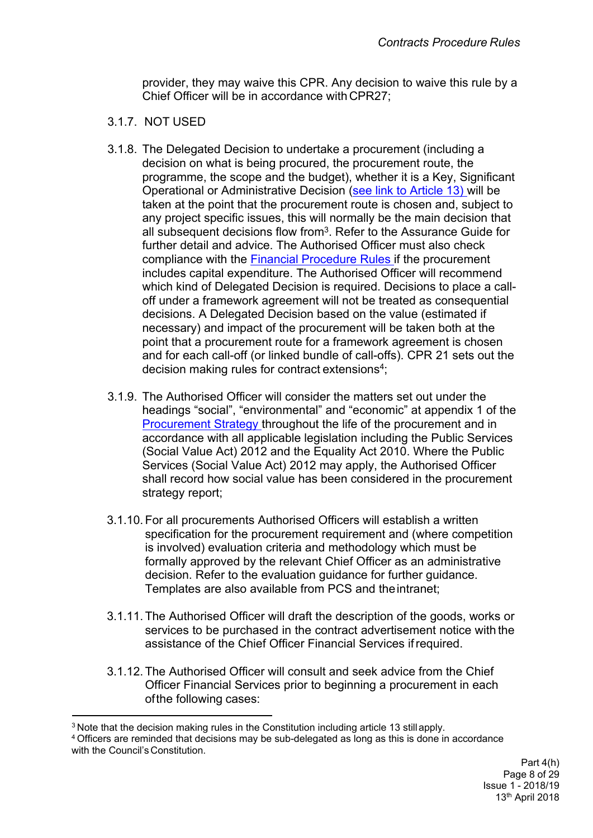provider, they may waive this CPR. Any decision to waive this rule by a Chief Officer will be in accordance with CPR27;

#### 3.1.7. NOT USED

- 3.1.8. The Delegated Decision to undertake a procurement (including a decision on what is being procured, the procurement route, the programme, the scope and the budget), whether it is a Key, Significant Operational or Administrative Decision (see link to [Article](http://democracy.leeds.gov.uk/ecCatDisplay.aspx?sch=doc&cat=13301&path=13278%2C13281) 13) will be taken at the point that the procurement route is chosen and, subject to any project specific issues, this will normally be the main decision that all subsequent decisions flow from<sup>3</sup>. Refer to the Assurance Guide for further detail and advice. The Authorised Officer must also check compliance with the Financial [Procedure](http://insite.leeds.gov.uk/PoliciesAndProcedures/Documents/Financial%20Regulations.pdf) Rules if the procurement includes capital expenditure. The Authorised Officer will recommend which kind of Delegated Decision is required. Decisions to place a calloff under a framework agreement will not be treated as consequential decisions. A Delegated Decision based on the value (estimated if necessary) and impact of the procurement will be taken both at the point that a procurement route for a framework agreement is chosen and for each call-off (or linked bundle of call-offs). CPR 21 sets out the decision making rules for contract extensions<sup>4</sup>;
- 3.1.9. The Authorised Officer will consider the matters set out under the headings "social", "environmental" and "economic" at appendix 1 of the [Procurement](http://www.leeds.gov.uk/docs/Procurement%20Strategy%20V1.0%20PUBLISH%2030.09.2013.pdf) Strategy throughout the life of the procurement and in accordance with all applicable legislation including the Public Services (Social Value Act) 2012 and the Equality Act 2010. Where the Public Services (Social Value Act) 2012 may apply, the Authorised Officer shall record how social value has been considered in the procurement strategy report;
- 3.1.10. For all procurements Authorised Officers will establish a written specification for the procurement requirement and (where competition is involved) evaluation criteria and methodology which must be formally approved by the relevant Chief Officer as an administrative decision. Refer to the evaluation guidance for further guidance. Templates are also available from PCS and theintranet;
- 3.1.11. The Authorised Officer will draft the description of the goods, works or services to be purchased in the contract advertisement notice with the assistance of the Chief Officer Financial Services ifrequired.
- 3.1.12. The Authorised Officer will consult and seek advice from the Chief Officer Financial Services prior to beginning a procurement in each ofthe following cases:

<sup>&</sup>lt;sup>3</sup> Note that the decision making rules in the Constitution including article 13 stillapply.

<sup>4</sup> Officers are reminded that decisions may be sub-delegated as long as this is done in accordance with the Council's Constitution.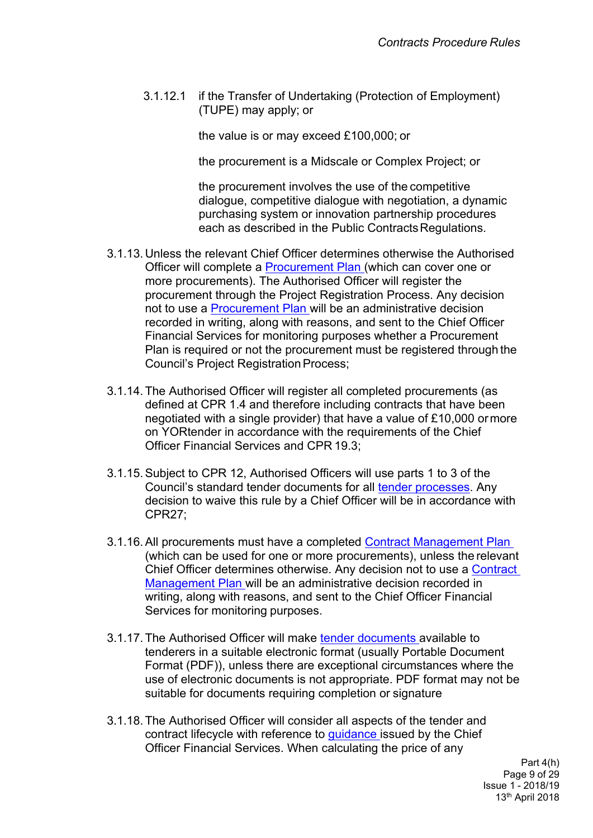3.1.12.1 if the Transfer of Undertaking (Protection of Employment) (TUPE) may apply; or

the value is or may exceed £100,000; or

the procurement is a Midscale or Complex Project; or

the procurement involves the use of the competitive dialogue, competitive dialogue with negotiation, a dynamic purchasing system or innovation partnership procedures each as described in the Public Contracts Regulations.

- 3.1.13. Unless the relevant Chief Officer determines otherwise the Authorised Officer will complete a [Procurement](http://insite.leeds.gov.uk/DoItOnline/Pages/Forms-and-guidance.aspx?cat=Procuring%20and%20managing%20a%20contract) Plan (which can cover one or more procurements). The Authorised Officer will register the procurement through the Project Registration Process. Any decision not to use a [Procurement](http://insite.leeds.gov.uk/DoItOnline/Pages/Forms-and-guidance.aspx?cat=Procuring%20and%20managing%20a%20contract) Plan will be an administrative decision recorded in writing, along with reasons, and sent to the Chief Officer Financial Services for monitoring purposes whether a Procurement Plan is required or not the procurement must be registered through the Council's Project Registration Process;
- 3.1.14. The Authorised Officer will register all completed procurements (as defined at CPR 1.4 and therefore including contracts that have been negotiated with a single provider) that have a value of £10,000 ormore on YORtender in accordance with the requirements of the Chief Officer Financial Services and CPR 19.3;
- 3.1.15.Subject to CPR 12, Authorised Officers will use parts 1 to 3 of the Council's standard tender [documents](http://insite.leeds.gov.uk/DoItOnline/Pages/default.aspx?cat=Procuring%20and%20managing%20a%20contract) for all tender [processes.](http://insite.leeds.gov.uk/DoItOnline/Pages/default.aspx?cat=Procuring%20and%20managing%20a%20contract) Any decision to waive this rule by a Chief Officer will be in accordance with CPR27;
- 3.1.16.All procurements must have a completed Contract [Management](http://insite.leeds.gov.uk/DoItOnline/Pages/default.aspx?cat=Procuring%20and%20managing%20a%20contract) Plan (which can be used for one or more procurements), unless the relevant Chief Officer determines otherwise. Any decision not to use a [Contract](http://insite.leeds.gov.uk/DoItOnline/Pages/Default.aspx?cat=Procuring%20and%20managing%20a%20contract) [Management](http://insite.leeds.gov.uk/DoItOnline/Pages/Default.aspx?cat=Procuring%20and%20managing%20a%20contract) Plan will be an administrative decision recorded in writing, along with reasons, and sent to the Chief Officer Financial Services for monitoring purposes.
- 3.1.17. The Authorised Officer will make tender [documents](http://insite.leeds.gov.uk/DoItOnline/Pages/Default.aspx?cat=Procuring%20and%20managing%20a%20contract) available to tenderers in a suitable electronic format (usually Portable Document Format (PDF)), unless there are exceptional circumstances where the use of electronic documents is not appropriate. PDF format may not be suitable for documents requiring completion or signature
- 3.1.18. The Authorised Officer will consider all aspects of the tender and contract lifecycle with reference to [guidance](http://insite.leeds.gov.uk/PoliciesAndProcedures/Documents/Procurement%20strategy.pdf) issued by the Chief Officer Financial Services. When calculating the price of any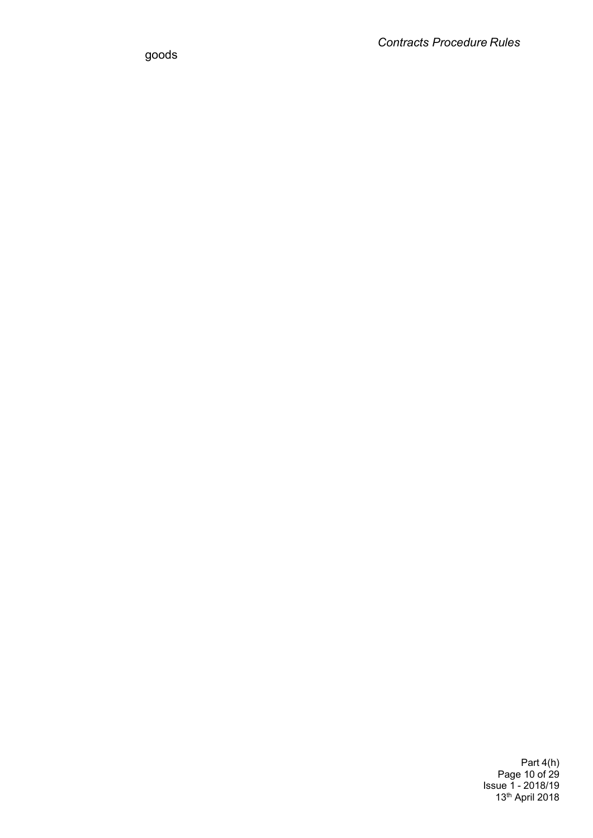goods

Part 4(h) Page 10 of 29 Issue 1 - 2018/19 13th April 2018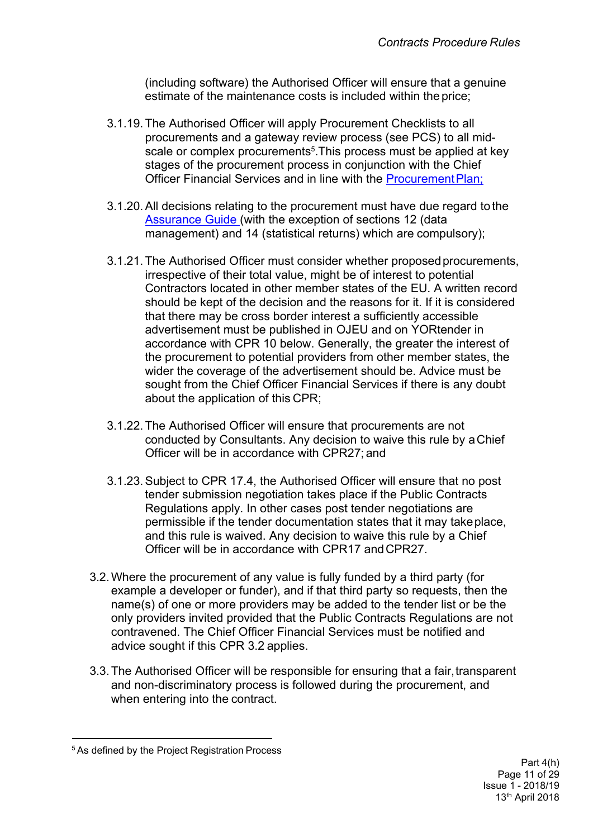(including software) the Authorised Officer will ensure that a genuine estimate of the maintenance costs is included within the price;

- 3.1.19. The Authorised Officer will apply Procurement Checklists to all procurements and a gateway review process (see PCS) to all midscale or complex procurements<sup>5</sup>. This process must be applied at key stages of the procurement process in conjunction with the Chief Officer Financial Services and in line with the Procurement Plan;
- 3.1.20.All decisions relating to the procurement must have due regard to the [Assurance](http://teams.leeds.gov.uk/services/PublicPrivatePartnershipsUnit/constructionandhousing/HOUSING%20LEEDS/06%20-%20EFFECTIVE%20PROC/00-CPRS-STRAT-ASSURANCE%20DOCS/Assurance%20Guide/Assurance%20guide%20word09.02.15.docx) Guide (with the exception of sections 12 (data management) and 14 (statistical returns) which are compulsory);
- 3.1.21. The Authorised Officer must consider whether proposed procurements, irrespective of their total value, might be of interest to potential Contractors located in other member states of the EU. A written record should be kept of the decision and the reasons for it. If it is considered that there may be cross border interest a sufficiently accessible advertisement must be published in OJEU and on YORtender in accordance with CPR 10 below. Generally, the greater the interest of the procurement to potential providers from other member states, the wider the coverage of the advertisement should be. Advice must be sought from the Chief Officer Financial Services if there is any doubt about the application of this CPR;
- 3.1.22. The Authorised Officer will ensure that procurements are not conducted by Consultants. Any decision to waive this rule by aChief Officer will be in accordance with CPR27; and
- 3.1.23.Subject to CPR 17.4, the Authorised Officer will ensure that no post tender submission negotiation takes place if the Public Contracts Regulations apply. In other cases post tender negotiations are permissible if the tender documentation states that it may takeplace, and this rule is waived. Any decision to waive this rule by a Chief Officer will be in accordance with CPR17 andCPR27.
- 3.2.Where the procurement of any value is fully funded by a third party (for example a developer or funder), and if that third party so requests, then the name(s) of one or more providers may be added to the tender list or be the only providers invited provided that the Public Contracts Regulations are not contravened. The Chief Officer Financial Services must be notified and advice sought if this CPR 3.2 applies.
- 3.3.The Authorised Officer will be responsible for ensuring that a fair,transparent and non-discriminatory process is followed during the procurement, and when entering into the contract.

<sup>5</sup> As defined by the Project Registration Process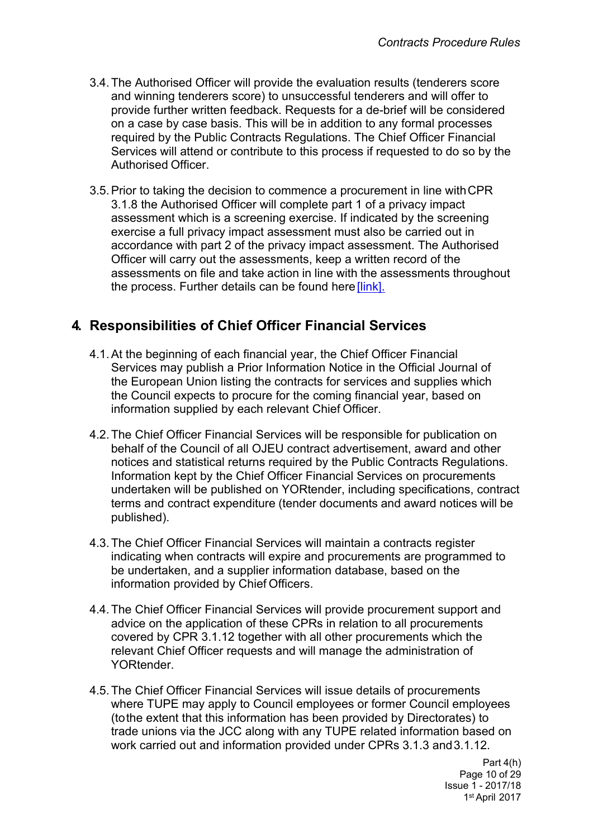- 3.4.The Authorised Officer will provide the evaluation results (tenderers score and winning tenderers score) to unsuccessful tenderers and will offer to provide further written feedback. Requests for a de-brief will be considered on a case by case basis. This will be in addition to any formal processes required by the Public Contracts Regulations. The Chief Officer Financial Services will attend or contribute to this process if requested to do so by the Authorised Officer.
- 3.5.Prior to taking the decision to commence a procurement in line withCPR 3.1.8 the Authorised Officer will complete part 1 of a privacy impact assessment which is a screening exercise. If indicated by the screening exercise a full privacy impact assessment must also be carried out in accordance with part 2 of the privacy impact assessment. The Authorised Officer will carry out the assessments, keep a written record of the assessments on file and take action in line with the assessments throughout the process. Further details can be found here [\[link\].](http://insite.leeds.gov.uk/toolkits/Pages/Sharing-information.aspx)

## <span id="page-11-0"></span>**4. Responsibilities of Chief Officer Financial Services**

- 4.1.At the beginning of each financial year, the Chief Officer Financial Services may publish a Prior Information Notice in the Official Journal of the European Union listing the contracts for services and supplies which the Council expects to procure for the coming financial year, based on information supplied by each relevant Chief Officer.
- 4.2.The Chief Officer Financial Services will be responsible for publication on behalf of the Council of all OJEU contract advertisement, award and other notices and statistical returns required by the Public Contracts Regulations. Information kept by the Chief Officer Financial Services on procurements undertaken will be published on YORtender, including specifications, contract terms and contract expenditure (tender [documents](http://insite.leeds.gov.uk/DoItOnline/Pages/Default.aspx?cat=Procuring%20and%20managing%20a%20contract) and award notices will be published).
- 4.3.The Chief Officer Financial Services will maintain a contracts register indicating when contracts will expire and procurements are programmed to be undertaken, and a supplier information database, based on the information provided by Chief Officers.
- 4.4.The Chief Officer Financial Services will provide procurement support and advice on the application of these CPRs in relation to all procurements covered by CPR 3.1.12 together with all other procurements which the relevant Chief Officer requests and will manage the administration of YORtender.
- 4.5.The Chief Officer Financial Services will issue details of procurements where TUPE may apply to Council employees or former Council employees (tothe extent that this information has been provided by Directorates) to trade unions via the JCC along with any TUPE related information based on work carried out and information provided under CPRs 3.1.3 and3.1.12.

Part 4(h) Page 10 of 29 Issue 1 - 2017/18 1 st April 2017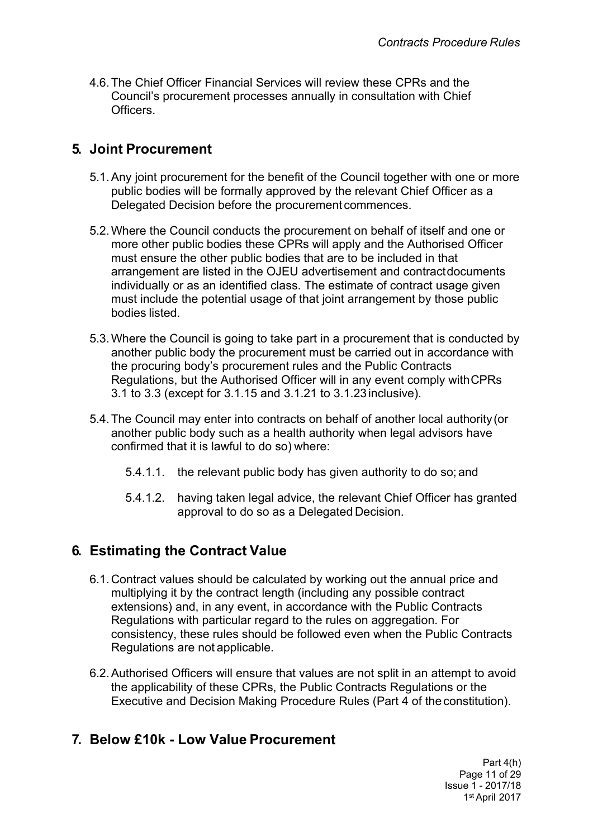4.6.The Chief Officer Financial Services will review these CPRs and the Council's procurement processes annually in consultation with Chief **Officers** 

# <span id="page-12-0"></span>**5. Joint Procurement**

- 5.1.Any joint procurement for the benefit of the Council together with one or more public bodies will be formally approved by the relevant Chief Officer as a Delegated Decision before the procurement commences.
- 5.2.Where the Council conducts the procurement on behalf of itself and one or more other public bodies these CPRs will apply and the Authorised Officer must ensure the other public bodies that are to be included in that arrangement are listed in the OJEU advertisement and contractdocuments individually or as an identified class. The estimate of contract usage given must include the potential usage of that joint arrangement by those public bodies listed.
- 5.3.Where the Council is going to take part in a procurement that is conducted by another public body the procurement must be carried out in accordance with the procuring body's procurement rules and the Public Contracts Regulations, but the Authorised Officer will in any event comply withCPRs 3.1 to 3.3 (except for 3.1.15 and 3.1.21 to 3.1.23inclusive).
- 5.4.The Council may enter into contracts on behalf of another local authority(or another public body such as a health authority when legal advisors have confirmed that it is lawful to do so) where:
	- 5.4.1.1. the relevant public body has given authority to do so; and
	- 5.4.1.2. having taken legal advice, the relevant Chief Officer has granted approval to do so as a Delegated Decision.

## <span id="page-12-1"></span>**6. Estimating the Contract Value**

- 6.1. Contract values should be calculated by working out the annual price and multiplying it by the contract length (including any possible contract extensions) and, in any event, in accordance with the Public Contracts Regulations with particular regard to the rules on aggregation. For consistency, these rules should be followed even when the Public Contracts Regulations are not applicable.
- 6.2.Authorised Officers will ensure that values are not split in an attempt to avoid the applicability of these CPRs, the Public Contracts Regulations or the Executive and Decision Making Procedure Rules (Part 4 of [theconstitution\).](http://democracy.leeds.gov.uk/ecCatDisplay.aspx?sch=doc&cat=13049&path=13004)

## <span id="page-12-2"></span>**7. Below £10k - Low Value Procurement**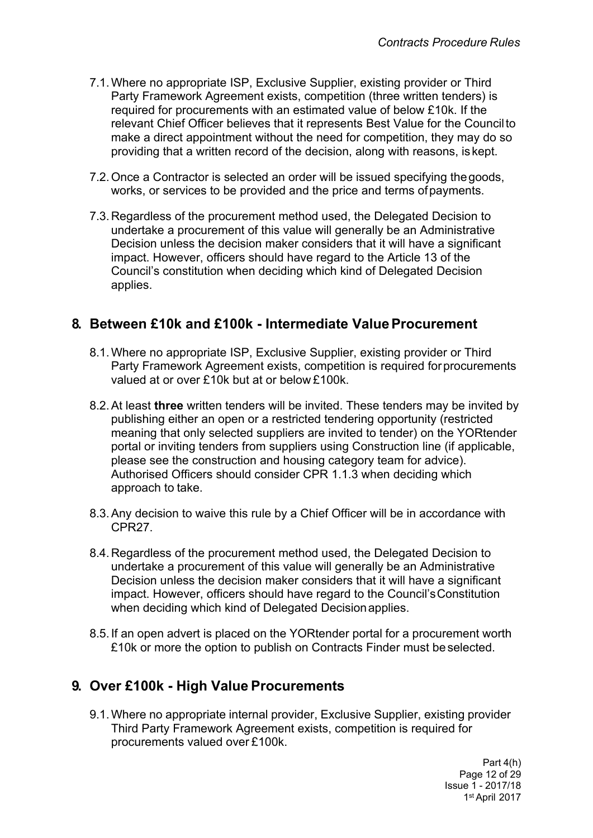- 7.1.Where no appropriate ISP, Exclusive Supplier, existing provider or Third Party Framework Agreement exists, competition (three written tenders) is required for procurements with an estimated value of below £10k. If the relevant Chief Officer believes that it represents Best Value for the Councilto make a direct appointment without the need for competition, they may do so providing that a written record of the decision, along with reasons, iskept.
- 7.2.Once a Contractor is selected an order will be issued specifying thegoods, works, or services to be provided and the price and terms ofpayments.
- 7.3. Regardless of the procurement method used, the Delegated Decision to undertake a procurement of this value will generally be an Administrative Decision unless the decision maker considers that it will have a significant impact. However, officers should have regard to the Article 13 of the Council's constitution when deciding which kind of Delegated Decision applies.

### <span id="page-13-0"></span>**8. Between £10k and £100k - Intermediate ValueProcurement**

- 8.1.Where no appropriate ISP, Exclusive Supplier, existing provider or Third Party Framework Agreement exists, competition is required forprocurements valued at or over £10k but at or below £100k.
- 8.2.At least **three** written tenders will be invited. These tenders may be invited by publishing either an open or a restricted tendering opportunity (restricted meaning that only selected suppliers are invited to tender) on the YORtender portal or inviting tenders from suppliers using Construction line (if applicable, please see the construction and housing category team for advice). Authorised Officers should consider CPR 1.1.3 when deciding which approach to take.
- 8.3.Any decision to waive this rule by a Chief Officer will be in accordance with CPR27.
- 8.4. Regardless of the procurement method used, the Delegated Decision to undertake a procurement of this value will generally be an Administrative Decision unless the decision maker considers that it will have a significant impact. However, officers should have regard to the Council'sConstitution when deciding which kind of Delegated Decisionapplies.
- 8.5. If an open advert is placed on the YORtender portal for a procurement worth £10k or more the option to publish on Contracts Finder must beselected.

### <span id="page-13-1"></span>**9. Over £100k - High Value Procurements**

9.1.Where no appropriate internal provider, Exclusive Supplier, existing provider Third Party Framework Agreement exists, competition is required for procurements valued over £100k.

> Part 4(h) Page 12 of 29 Issue 1 - 2017/18 1 st April 2017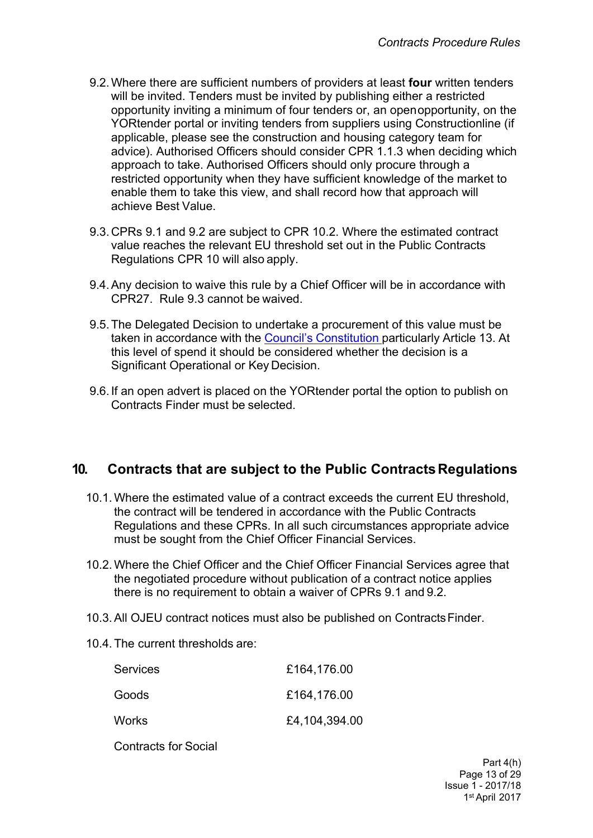- 9.2.Where there are sufficient numbers of providers at least **four** written tenders will be invited. Tenders must be invited by publishing either a restricted opportunity inviting a minimum of four tenders or, an openopportunity, on the YORtender portal or inviting tenders from suppliers using Constructionline (if applicable, please see the construction and housing category team for advice). Authorised Officers should consider CPR 1.1.3 when deciding which approach to take. Authorised Officers should only procure through a restricted opportunity when they have sufficient knowledge of the market to enable them to take this view, and shall record how that approach will achieve Best Value.
- 9.3. CPRs 9.1 and 9.2 are subject to CPR 10.2. Where the estimated contract value reaches the relevant EU threshold set out in the Public Contracts Regulations CPR 10 will also apply.
- 9.4.Any decision to waive this rule by a Chief Officer will be in accordance with CPR27. Rule 9.3 cannot be waived.
- 9.5.The Delegated Decision to undertake a procurement of this value must be taken in accordance with the Council's [Constitution](http://www.leeds.gov.uk/council/Pages/Constitution.aspx) particularly Article 13. At this level of spend it should be considered whether the decision is a Significant Operational or Key Decision.
- 9.6. If an open advert is placed on the YORtender portal the option to publish on Contracts Finder must be selected.

## <span id="page-14-0"></span>**10. Contracts that are subject to the Public ContractsRegulations**

- 10.1.Where the estimated value of a contract exceeds the current EU threshold, the contract will be tendered in accordance with the Public Contracts Regulations and these CPRs. In all such circumstances appropriate advice must be sought from the Chief Officer Financial Services.
- 10.2.Where the Chief Officer and the Chief Officer Financial Services agree that the negotiated procedure without publication of a contract notice applies there is no requirement to obtain a waiver of CPRs 9.1 and 9.2.
- 10.3.All OJEU contract notices must also be published on ContractsFinder.
- 10.4. The current thresholds are:

| Services | £164,176.00   |
|----------|---------------|
| Goods    | £164,176.00   |
| Works    | £4,104,394.00 |

Contracts for Social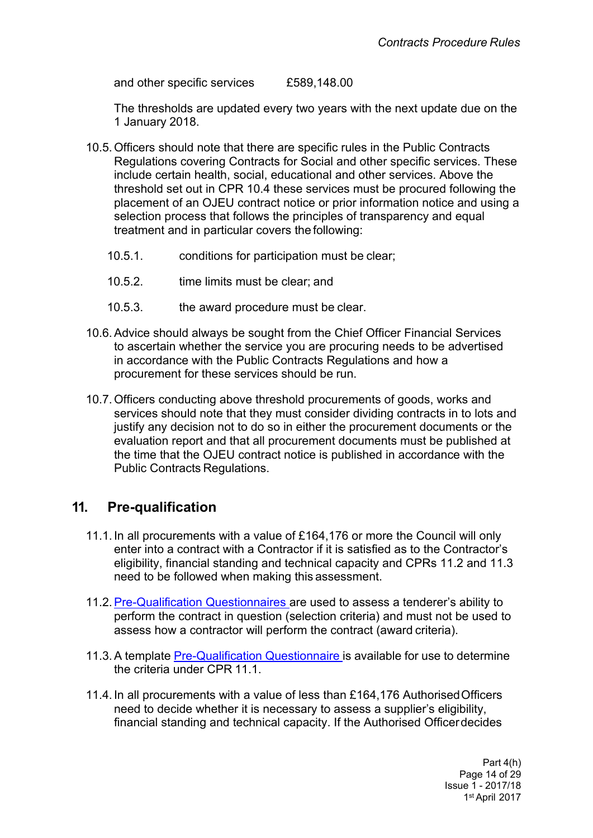and other specific services £589,148.00

The thresholds are updated every two years with the next update due on the 1 January 2018.

- 10.5. Officers should note that there are specific rules in the Public Contracts Regulations covering Contracts for Social and other specific services. These include certain health, social, educational and other services. Above the threshold set out in CPR 10.4 these services must be procured following the placement of an OJEU contract notice or prior information notice and using a selection process that follows the principles of transparency and equal treatment and in particular covers the following:
	- 10.5.1. conditions for participation must be clear;
	- 10.5.2. time limits must be clear; and
	- 10.5.3. the award procedure must be clear.
- 10.6.Advice should always be sought from the Chief Officer Financial Services to ascertain whether the service you are procuring needs to be advertised in accordance with the Public Contracts Regulations and how a procurement for these services should be run.
- 10.7. Officers conducting above threshold procurements of goods, works and services should note that they must consider dividing contracts in to lots and justify any decision not to do so in either the procurement documents or the evaluation report and that all procurement documents must be published at the time that the OJEU contract notice is published in accordance with the Public Contracts Regulations.

### <span id="page-15-0"></span>**11. Pre-qualification**

- 11.1. In all procurements with a value of £164,176 or more the Council will only enter into a contract with a Contractor if it is satisfied as to the Contractor's eligibility, financial standing and technical capacity and CPRs 11.2 and 11.3 need to be followed when making this assessment.
- 11.2.[Pre-Qualification](http://insite.leeds.gov.uk/toolkits/Pages/Delivering-a-procurement.aspx) Questionnaires are used to assess a tenderer's ability to perform the contract in question (selection criteria) and must not be used to assess how a contractor will perform the contract (award criteria).
- 11.3.A template [Pre-Qualification](http://insite.leeds.gov.uk/toolkits/Pages/Delivering-a-procurement.aspx) Questionnaire is available for use to determine the criteria under CPR 11.1.
- 11.4. In all procurements with a value of less than £164,176 AuthorisedOfficers need to decide whether it is necessary to assess a supplier's eligibility, financial standing and technical capacity. If the Authorised Officerdecides

Part 4(h) Page 14 of 29 Issue 1 - 2017/18 1 st April 2017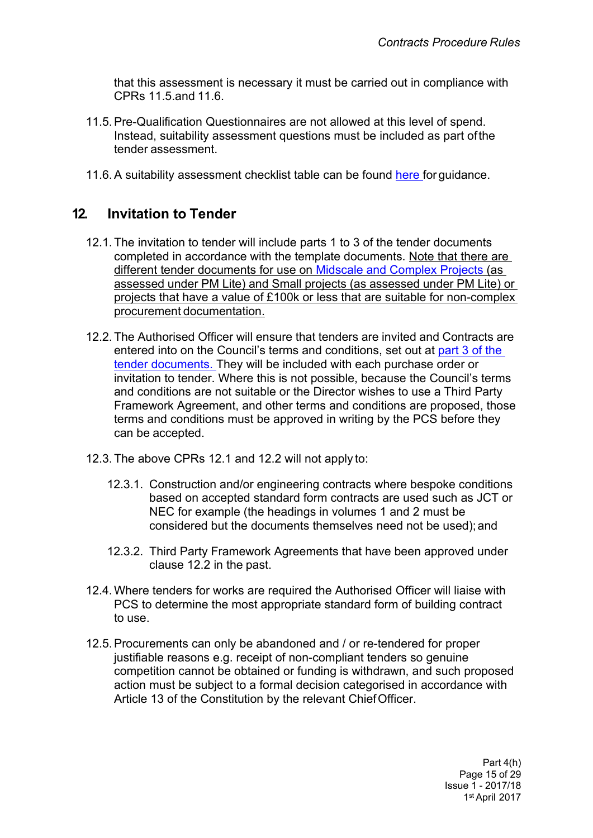that this assessment is necessary it must be carried out in compliance with CPRs 11.5.and 11.6.

- 11.5.Pre-Qualification Questionnaires are not allowed at this level of spend. Instead, suitability assessment questions must be included as part ofthe tender assessment.
- 11.6. A suitability assessment checklist table can be found [here](http://insite.leeds.gov.uk/Root%20document%20library/Below%20threshold%20suitability%20assessment%20(replacing%20PQQ)%20guidance%20V2.0%20FINAL%2009.09.2015.pdf) for quidance.

## <span id="page-16-0"></span>**12. Invitation to Tender**

- 12.1. The invitation to tender will include parts 1 to 3 of the tender documents completed in accordance with the template documents. Note that there are different tender documents for use on [Midscale](http://insite.leeds.gov.uk/toolkits/Pages/Delivering-a-procurement.aspx) and Complex Projects (as assessed under PM Lite) and Small projects (as assessed under PM Lite) or projects that have a value of £100k or less that are suitable for non-complex procurement documentation.
- 12.2. The Authorised Officer will ensure that tenders are invited and Contracts are entered into on the Council's terms and conditions, set out at [part](http://insite.leeds.gov.uk/toolkits/Pages/Delivering-a-procurement.aspx) 3 of the tender [documents.](http://insite.leeds.gov.uk/toolkits/Pages/Delivering-a-procurement.aspx) They will be included with each purchase order or invitation to tender. Where this is not possible, because the Council's terms and conditions are not suitable or the Director wishes to use a Third Party Framework Agreement, and other terms and conditions are proposed, those terms and conditions must be approved in writing by the PCS before they can be accepted.
- 12.3. The above CPRs 12.1 and 12.2 will not apply to:
	- 12.3.1. Construction and/or engineering contracts where bespoke conditions based on accepted standard form contracts are used such as JCT or NEC for example (the headings in volumes 1 and 2 must be considered but the documents themselves need not be used);and
	- 12.3.2. Third Party Framework Agreements that have been approved under clause 12.2 in the past.
- 12.4.Where tenders for works are required the Authorised Officer will liaise with PCS to determine the most appropriate standard form of building contract to use.
- 12.5.Procurements can only be abandoned and / or re-tendered for proper justifiable reasons e.g. receipt of non-compliant tenders so genuine competition cannot be obtained or funding is withdrawn, and such proposed action must be subject to a formal decision categorised in accordance with Article 13 of the Constitution by the relevant ChiefOfficer.

Part 4(h) Page 15 of 29 Issue 1 - 2017/18 1 st April 2017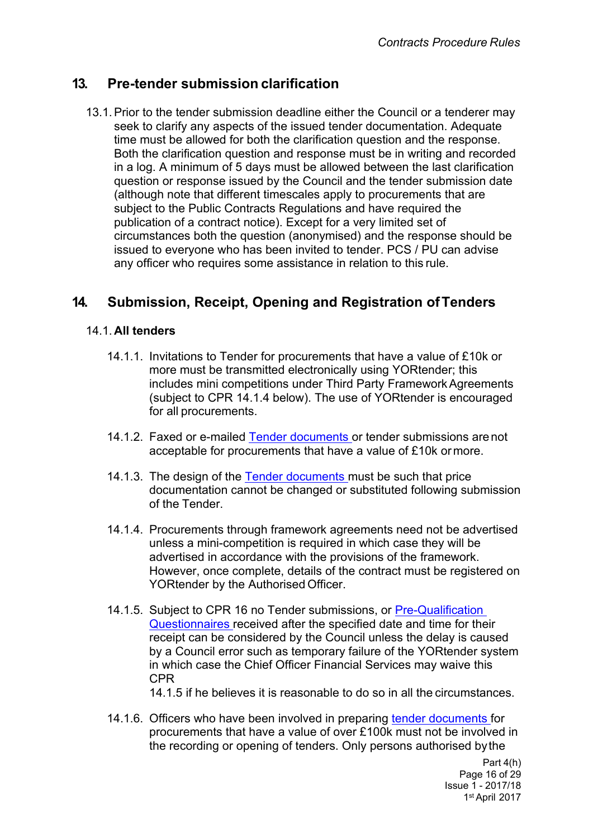## <span id="page-17-0"></span>**13. Pre-tender submission clarification**

13.1.Prior to the tender submission deadline either the Council or a tenderer may seek to clarify any aspects of the issued tender documentation. Adequate time must be allowed for both the clarification question and the response. Both the clarification question and response must be in writing and recorded in a log. A minimum of 5 days must be allowed between the last clarification question or response issued by the Council and the tender submission date (although note that different timescales apply to procurements that are subject to the Public Contracts Regulations and have required the publication of a contract notice). Except for a very limited set of circumstances both the question (anonymised) and the response should be issued to everyone who has been invited to tender. PCS / PU can advise any officer who requires some assistance in relation to this rule.

# <span id="page-17-1"></span>**14. Submission, Receipt, Opening and Registration ofTenders**

#### 14.1. **All tenders**

- 14.1.1. Invitations to Tender for procurements that have a value of £10k or more must be transmitted electronically using YORtender; this includes mini competitions under Third Party Framework Agreements (subject to CPR 14.1.4 below). The use of YORtender is encouraged for all procurements.
- 14.1.2. Faxed or e-mailed Tender [documents](http://insite.leeds.gov.uk/DoItOnline/Pages/Default.aspx?cat=Procuring%20and%20managing%20a%20contract) or tender submissions arenot acceptable for procurements that have a value of £10k ormore.
- 14.1.3. The design of the Tender [documents](http://insite.leeds.gov.uk/DoItOnline/Pages/Default.aspx?cat=Procuring%20and%20managing%20a%20contract) must be such that price documentation cannot be changed or substituted following submission of the Tender.
- 14.1.4. Procurements through framework agreements need not be advertised unless a mini-competition is required in which case they will be advertised in accordance with the provisions of the framework. However, once complete, details of the contract must be registered on YORtender by the Authorised Officer.
- 14.1.5. Subject to CPR 16 no Tender submissions, or [Pre-Qualification](http://insite.leeds.gov.uk/Root%20document%20library/PQQ%20unsuccessful%20letter.docx) [Questionnaires](http://insite.leeds.gov.uk/Root%20document%20library/PQQ%20unsuccessful%20letter.docx) received after the specified date and time for their receipt can be considered by the Council unless the delay is caused by a Council error such as temporary failure of the YORtender system in which case the Chief Officer Financial Services may waive this CPR

14.1.5 if he believes it is reasonable to do so in all the circumstances.

14.1.6. Officers who have been involved in preparing tender [documents](http://insite.leeds.gov.uk/DoItOnline/Pages/Default.aspx?cat=Procuring%20and%20managing%20a%20contract) for procurements that have a value of over £100k must not be involved in the recording or opening of tenders. Only persons authorised bythe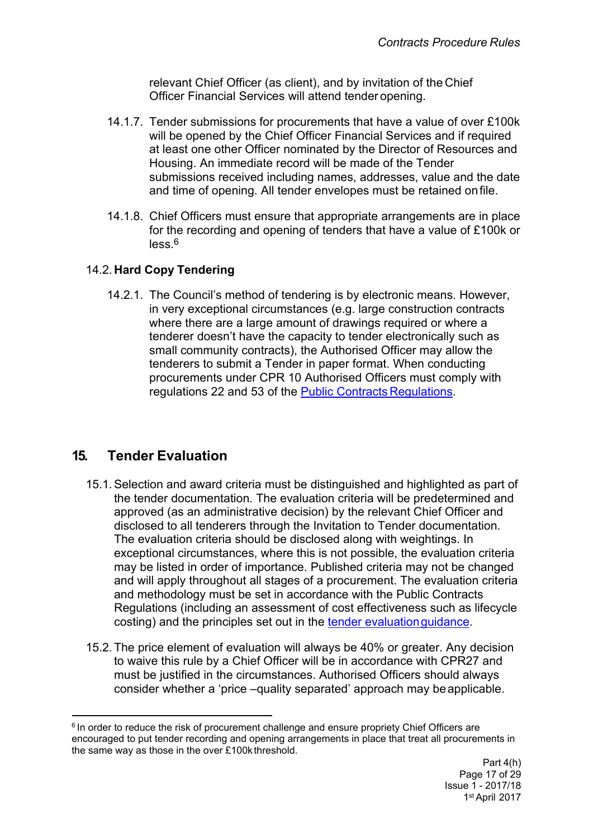relevant Chief Officer (as client), and by invitation of the Chief Officer Financial Services will attend tender opening.

- 14.1.7. Tender submissions for procurements that have a value of over £100k will be opened by the Chief Officer Financial Services and if required at least one other Officer nominated by the Director of Resources and Housing. An immediate record will be made of the Tender submissions received including names, addresses, value and the date and time of opening. All tender envelopes must be retained onfile.
- 14.1.8. Chief Officers must ensure that appropriate arrangements are in place for the recording and opening of tenders that have a value of £100k or less.6

#### 14.2. **Hard Copy Tendering**

14.2.1. The Council's method of tendering is by electronic means. However, in very exceptional circumstances (e.g. large construction contracts where there are a large amount of drawings required or where a tenderer doesn't have the capacity to tender electronically such as small community contracts), the Authorised Officer may allow the tenderers to submit a Tender in paper format. When conducting procurements under CPR 10 Authorised Officers must comply with regulations 22 and 53 of the Public Contracts [Regulations.](http://www.legislation.gov.uk/uksi/2015/102/contents/made)

## <span id="page-18-0"></span>**15. Tender Evaluation**

- 15.1.Selection and award criteria must be distinguished and highlighted as part of the tender documentation. The evaluation criteria will be predetermined and approved (as an administrative decision) by the relevant Chief Officer and disclosed to all tenderers through the Invitation to Tender documentation. The evaluation criteria should be disclosed along with weightings. In exceptional circumstances, where this is not possible, the evaluation criteria may be listed in order of importance. Published criteria may not be changed and will apply throughout all stages of a procurement. The evaluation criteria and methodology must be set in accordance with the Public Contracts Regulations (including an assessment of cost effectiveness such as lifecycle costing) and the principles set out in the tender evaluation quidance.
- 15.2. The price element of evaluation will always be 40% or greater. Any decision to waive this rule by a Chief Officer will be in accordance with CPR27 and must be justified in the circumstances. Authorised Officers should always consider whether a 'price –quality separated' approach may beapplicable.

<sup>&</sup>lt;sup>6</sup> In order to reduce the risk of procurement challenge and ensure propriety Chief Officers are encouraged to put tender recording and opening arrangements in place that treat all procurements in the same way as those in the over £100k threshold.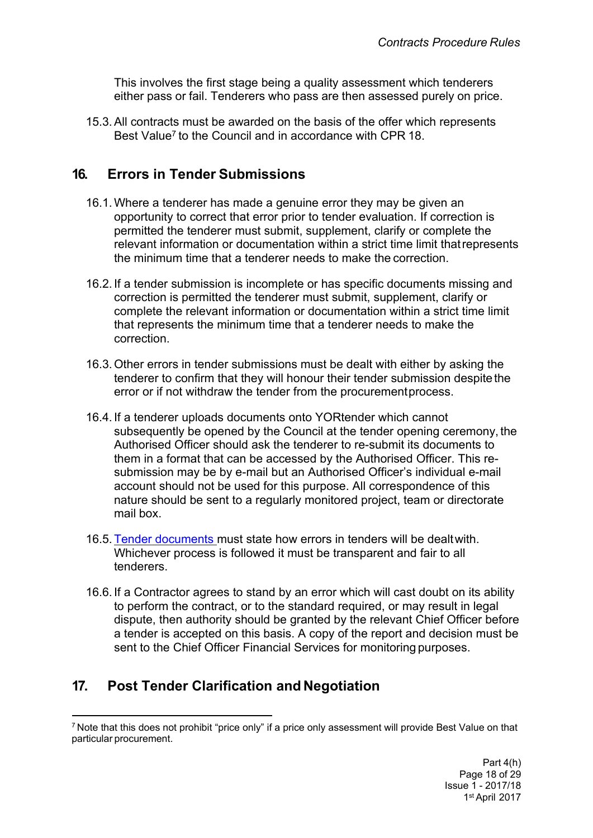This involves the first stage being a quality assessment which tenderers either pass or fail. Tenderers who pass are then assessed purely on price.

15.3.All contracts must be awarded on the basis of the offer which represents Best Value<sup>7</sup> to the Council and in accordance with CPR 18.

## <span id="page-19-0"></span>**16. Errors in Tender Submissions**

- 16.1.Where a tenderer has made a genuine error they may be given an opportunity to correct that error prior to tender evaluation. If correction is permitted the tenderer must submit, supplement, clarify or complete the relevant information or documentation within a strict time limit thatrepresents the minimum time that a tenderer needs to make the correction.
- 16.2. If a tender submission is incomplete or has specific documents missing and correction is permitted the tenderer must submit, supplement, clarify or complete the relevant information or documentation within a strict time limit that represents the minimum time that a tenderer needs to make the correction.
- 16.3. Other errors in tender submissions must be dealt with either by asking the tenderer to confirm that they will honour their tender submission despitethe error or if not withdraw the tender from the procurementprocess.
- 16.4. If a tenderer uploads documents onto YORtender which cannot subsequently be opened by the Council at the tender opening ceremony, the Authorised Officer should ask the tenderer to re-submit its documents to them in a format that can be accessed by the Authorised Officer. This resubmission may be by e-mail but an Authorised Officer's individual e-mail account should not be used for this purpose. All correspondence of this nature should be sent to a regularly monitored project, team or directorate mail box.
- 16.5. Tender [documents](http://insite.leeds.gov.uk/DoItOnline/Pages/Default.aspx?cat=Procuring%20and%20managing%20a%20contract) must state how errors in tenders will be dealtwith. Whichever process is followed it must be transparent and fair to all tenderers.
- 16.6. If a Contractor agrees to stand by an error which will cast doubt on its ability to perform the contract, or to the standard required, or may result in legal dispute, then authority should be granted by the relevant Chief Officer before a tender is accepted on this basis. A copy of the report and decision must be sent to the Chief Officer Financial Services for monitoring purposes.

# <span id="page-19-1"></span>**17. Post Tender Clarification and Negotiation**

<sup>7</sup> Note that this does not prohibit "price only" if a price only assessment will provide Best Value on that particular procurement.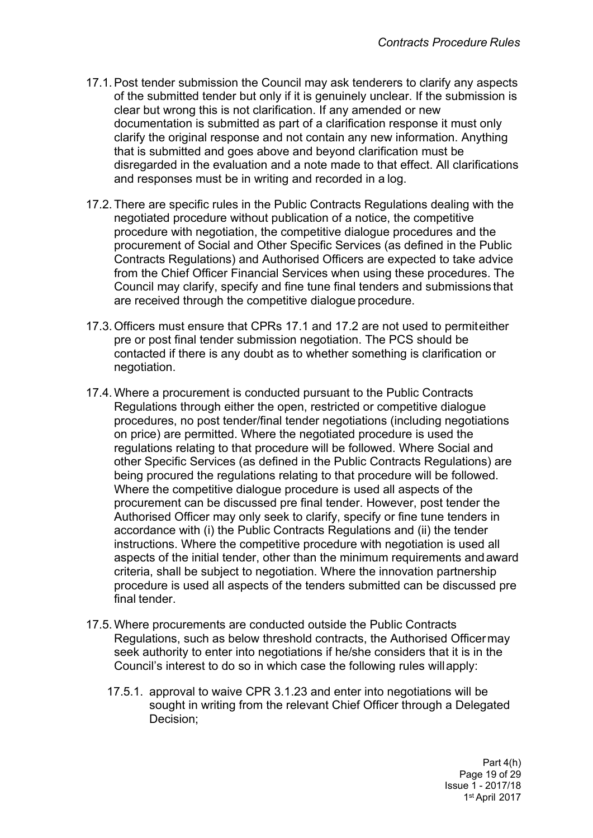- 17.1.Post tender submission the Council may ask tenderers to clarify any aspects of the submitted tender but only if it is genuinely unclear. If the submission is clear but wrong this is not clarification. If any amended or new documentation is submitted as part of a clarification response it must only clarify the original response and not contain any new information. Anything that is submitted and goes above and beyond clarification must be disregarded in the evaluation and a note made to that effect. All clarifications and responses must be in writing and recorded in a log.
- 17.2. There are specific rules in the Public Contracts Regulations dealing with the negotiated procedure without publication of a notice, the competitive procedure with negotiation, the competitive dialogue procedures and the procurement of Social and Other Specific Services (as defined in the Public Contracts Regulations) and Authorised Officers are expected to take advice from the Chief Officer Financial Services when using these procedures. The Council may clarify, specify and fine tune final tenders and submissions that are received through the competitive dialogue procedure.
- 17.3. Officers must ensure that CPRs 17.1 and 17.2 are not used to permiteither pre or post final tender submission negotiation. The PCS should be contacted if there is any doubt as to whether something is clarification or negotiation.
- 17.4.Where a procurement is conducted pursuant to the Public Contracts Regulations through either the open, restricted or competitive dialogue procedures, no post tender/final tender negotiations (including negotiations on price) are permitted. Where the negotiated procedure is used the regulations relating to that procedure will be followed. Where Social and other Specific Services (as defined in the Public Contracts Regulations) are being procured the regulations relating to that procedure will be followed. Where the competitive dialogue procedure is used all aspects of the procurement can be discussed pre final tender. However, post tender the Authorised Officer may only seek to clarify, specify or fine tune tenders in accordance with (i) the Public Contracts Regulations and (ii) the tender instructions. Where the competitive procedure with negotiation is used all aspects of the initial tender, other than the minimum requirements andaward criteria, shall be subject to negotiation. Where the innovation partnership procedure is used all aspects of the tenders submitted can be discussed pre final tender.
- 17.5.Where procurements are conducted outside the Public Contracts Regulations, such as below threshold contracts, the Authorised Officermay seek authority to enter into negotiations if he/she considers that it is in the Council's interest to do so in which case the following rules willapply:
	- 17.5.1. approval to waive CPR 3.1.23 and enter into negotiations will be sought in writing from the relevant Chief Officer through a Delegated Decision;

Part 4(h) Page 19 of 29 Issue 1 - 2017/18 1 st April 2017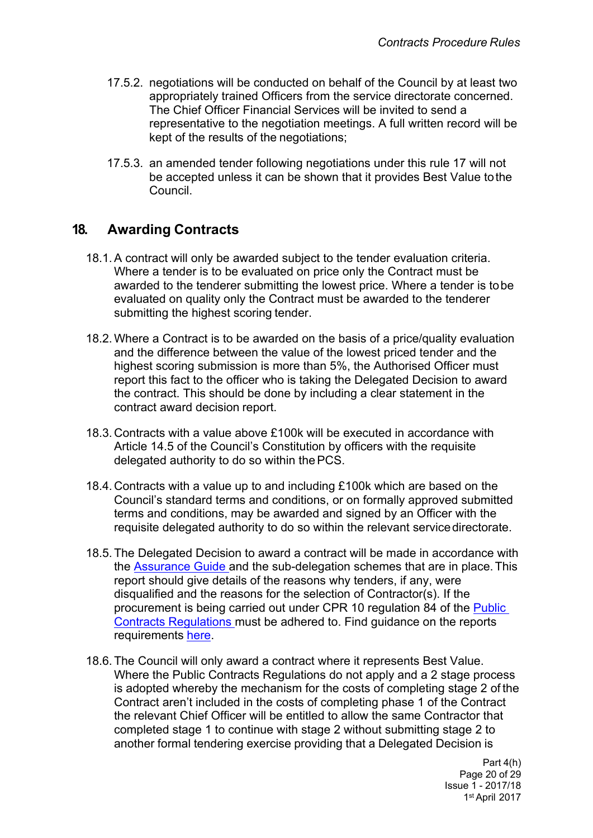- 17.5.2. negotiations will be conducted on behalf of the Council by at least two appropriately trained Officers from the service directorate concerned. The Chief Officer Financial Services will be invited to send a representative to the negotiation meetings. A full written record will be kept of the results of the negotiations;
- 17.5.3. an amended tender following negotiations under this rule 17 will not be accepted unless it can be shown that it provides Best Value tothe Council.

## <span id="page-21-0"></span>**18. Awarding Contracts**

- 18.1.A contract will only be awarded subject to the tender evaluation criteria. Where a tender is to be evaluated on price only the Contract must be awarded to the tenderer submitting the lowest price. Where a tender is tobe evaluated on quality only the Contract must be awarded to the tenderer submitting the highest scoring tender.
- 18.2.Where a Contract is to be awarded on the basis of a price/quality evaluation and the difference between the value of the lowest priced tender and the highest scoring submission is more than 5%, the Authorised Officer must report this fact to the officer who is taking the Delegated Decision to award the contract. This should be done by including a clear statement in the contract award decision report.
- 18.3. Contracts with a value above £100k will be executed in accordance with Article 14.5 of the Council's Constitution by officers with the requisite delegated authority to do so within thePCS.
- 18.4. Contracts with a value up to and including £100k which are based on the Council's standard terms and conditions, or on formally approved submitted terms and conditions, may be awarded and signed by an Officer with the requisite delegated authority to do so within the relevant servicedirectorate.
- 18.5. The Delegated Decision to award a contract will be made in accordance with the [Assurance](http://teams.leeds.gov.uk/services/PublicPrivatePartnershipsUnit/constructionandhousing/HOUSING%20LEEDS/06%20-%20EFFECTIVE%20PROC/00-CPRS-STRAT-ASSURANCE%20DOCS/Assurance%20Guide/Assurance%20guide%20word09.02.15.docx) Guide and the sub-delegation schemes that are in place.This report should give details of the reasons why tenders, if any, were disqualified and the reasons for the selection of Contractor(s). If the procurement is being carried out under CPR 10 regulation 84 of the [Public](http://www.legislation.gov.uk/uksi/2015/102/contents/made) Contracts [Regulations](http://www.legislation.gov.uk/uksi/2015/102/contents/made) must be adhered to. Find guidance on the reports requirements [here.](http://insite.leeds.gov.uk/DoItOnline/Do%20it%20online%20forms/Tender%20report%20guidance%20V2%200%20PUBLISH.docx)
- 18.6. The Council will only award a contract where it represents Best Value. Where the Public Contracts Regulations do not apply and a 2 stage process is adopted whereby the mechanism for the costs of completing stage 2 of the Contract aren't included in the costs of completing phase 1 of the Contract the relevant Chief Officer will be entitled to allow the same Contractor that completed stage 1 to continue with stage 2 without submitting stage 2 to another formal tendering exercise providing that a Delegated Decision is

Part 4(h) Page 20 of 29 Issue 1 - 2017/18 1 st April 2017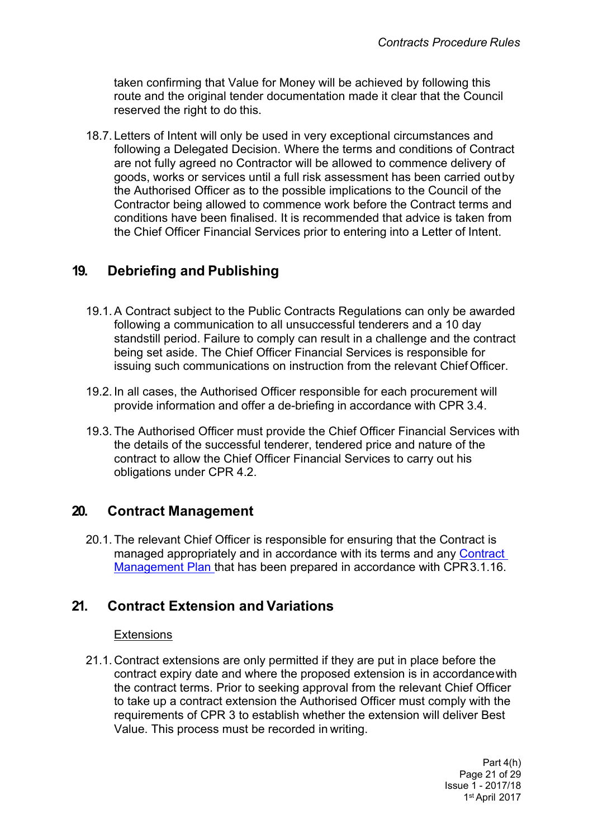taken confirming that Value for Money will be achieved by following this route and the original tender documentation made it clear that the Council reserved the right to do this.

18.7. Letters of Intent will only be used in very exceptional circumstances and following a Delegated Decision. Where the terms and conditions of Contract are not fully agreed no Contractor will be allowed to commence delivery of goods, works or services until a full risk assessment has been carried outby the Authorised Officer as to the possible implications to the Council of the Contractor being allowed to commence work before the Contract terms and conditions have been finalised. It is recommended that advice is taken from the Chief Officer Financial Services prior to entering into a Letter of Intent.

# <span id="page-22-0"></span>**19. Debriefing and Publishing**

- 19.1.A Contract subject to the Public Contracts Regulations can only be awarded following a communication to all unsuccessful tenderers and a 10 day standstill period. Failure to comply can result in a challenge and the contract being set aside. The Chief Officer Financial Services is responsible for issuing such communications on instruction from the relevant Chief Officer.
- 19.2. In all cases, the Authorised Officer responsible for each procurement will provide information and offer a de-briefing in accordance with CPR 3.4.
- 19.3. The Authorised Officer must provide the Chief Officer Financial Services with the details of the successful tenderer, tendered price and nature of the contract to allow the Chief Officer Financial Services to carry out his obligations under CPR 4.2.

### <span id="page-22-1"></span>**20. Contract Management**

20.1. The relevant Chief Officer is responsible for ensuring that the Contract is managed appropriately and in accordance with its terms and any [Contract](http://insite.leeds.gov.uk/DoItOnline/Pages/Default.aspx?cat=Procuring%20and%20managing%20a%20contract) [Management](http://insite.leeds.gov.uk/DoItOnline/Pages/Default.aspx?cat=Procuring%20and%20managing%20a%20contract) Plan that has been prepared in accordance with CPR3.1.16.

## <span id="page-22-2"></span>**21. Contract Extension and Variations**

#### **Extensions**

21.1. Contract extensions are only permitted if they are put in place before the contract expiry date and where the proposed extension is in accordancewith the contract terms. Prior to seeking approval from the relevant Chief Officer to take up a contract extension the Authorised Officer must comply with the requirements of CPR 3 to establish whether the extension will deliver Best Value. This process must be recorded in writing.

> Part 4(h) Page 21 of 29 Issue 1 - 2017/18 1 st April 2017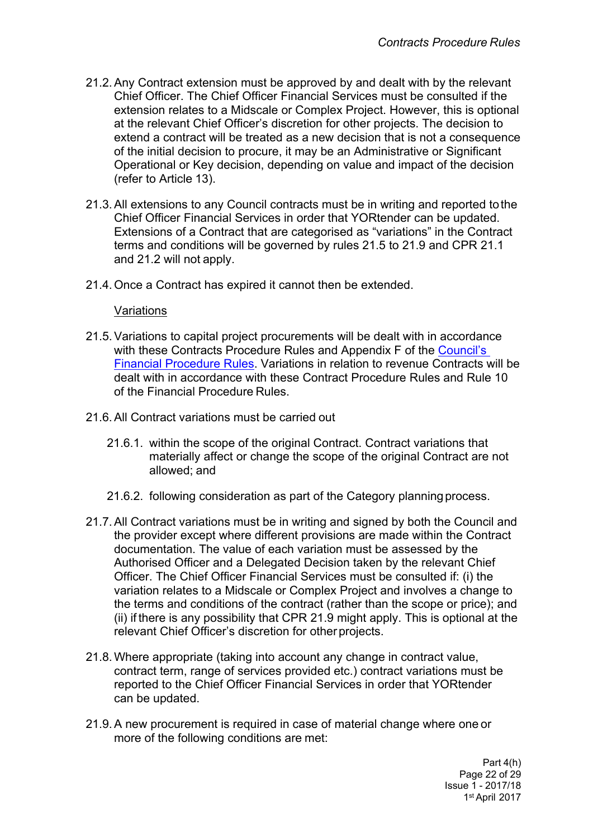- 21.2.Any Contract extension must be approved by and dealt with by the relevant Chief Officer. The Chief Officer Financial Services must be consulted if the extension relates to a Midscale or Complex Project. However, this is optional at the relevant Chief Officer's discretion for other projects. The decision to extend a contract will be treated as a new decision that is not a consequence of the initial decision to procure, it may be an Administrative or Significant Operational or Key decision, depending on value and impact of the decision (refer to Article 13).
- 21.3.All extensions to any Council contracts must be in writing and reported tothe Chief Officer Financial Services in order that YORtender can be updated. Extensions of a Contract that are categorised as "variations" in the Contract terms and conditions will be governed by rules 21.5 to 21.9 and CPR 21.1 and 21.2 will not apply.
- 21.4. Once a Contract has expired it cannot then be extended.

#### Variations

- 21.5.Variations to capital project procurements will be dealt with in accordance with these Contracts Procedure Rules and Appendix F of the [Council's](http://democracy.leeds.gov.uk/documents/s113265/financial%20regulations.pdf) Financial [Procedure](http://democracy.leeds.gov.uk/documents/s113265/financial%20regulations.pdf) Rules. Variations in relation to revenue Contracts will be dealt with in accordance with these Contract Procedure Rules and Rule 10 of the Financial Procedure Rules.
- 21.6.All Contract variations must be carried out
	- 21.6.1. within the scope of the original Contract. Contract variations that materially affect or change the scope of the original Contract are not allowed; and
	- 21.6.2. following consideration as part of the Category planning process.
- 21.7.All Contract variations must be in writing and signed by both the Council and the provider except where different provisions are made within the Contract documentation. The value of each variation must be assessed by the Authorised Officer and a Delegated Decision taken by the relevant Chief Officer. The Chief Officer Financial Services must be consulted if: (i) the variation relates to a Midscale or Complex Project and involves a change to the terms and conditions of the contract (rather than the scope or price); and (ii) if there is any possibility that CPR 21.9 might apply. This is optional at the relevant Chief Officer's discretion for other projects.
- 21.8.Where appropriate (taking into account any change in contract value, contract term, range of services provided etc.) contract variations must be reported to the Chief Officer Financial Services in order that YORtender can be updated.
- 21.9.A new procurement is required in case of material change where one or more of the following conditions are met:

Part 4(h) Page 22 of 29 Issue 1 - 2017/18 1 st April 2017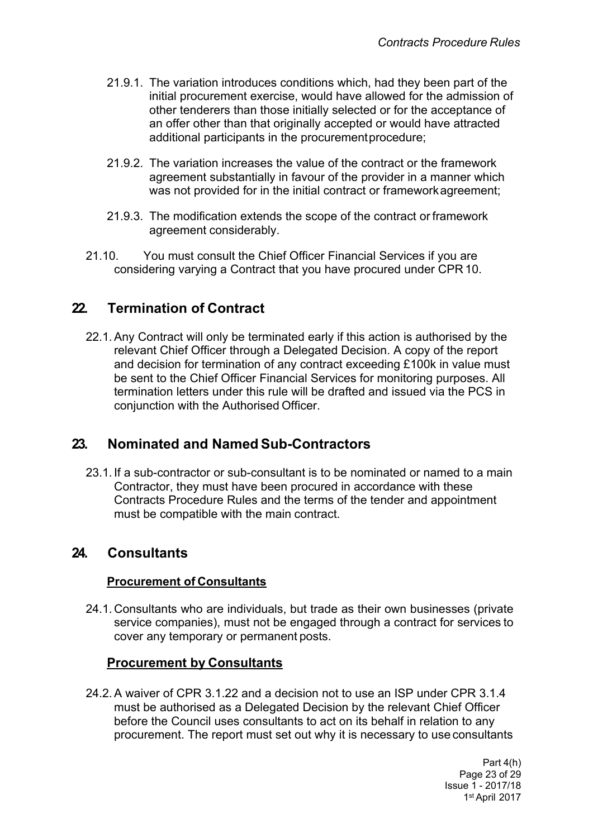- 21.9.1. The variation introduces conditions which, had they been part of the initial procurement exercise, would have allowed for the admission of other tenderers than those initially selected or for the acceptance of an offer other than that originally accepted or would have attracted additional participants in the procurementprocedure;
- 21.9.2. The variation increases the value of the contract or the framework agreement substantially in favour of the provider in a manner which was not provided for in the initial contract or frameworkagreement;
- 21.9.3. The modification extends the scope of the contract or framework agreement considerably.
- 21.10. You must consult the Chief Officer Financial Services if you are considering varying a Contract that you have procured under CPR 10.

## <span id="page-24-0"></span>**22. Termination of Contract**

22.1.Any Contract will only be terminated early if this action is authorised by the relevant Chief Officer through a Delegated Decision. A copy of the report and decision for termination of any contract exceeding £100k in value must be sent to the Chief Officer Financial Services for monitoring purposes. All termination letters under this rule will be drafted and issued via the PCS in conjunction with the Authorised Officer.

### <span id="page-24-1"></span>**23. Nominated and Named Sub-Contractors**

23.1. If a sub-contractor or sub-consultant is to be nominated or named to a main Contractor, they must have been procured in accordance with these Contracts Procedure Rules and the terms of the tender and appointment must be compatible with the main contract.

### <span id="page-24-2"></span>**24. Consultants**

#### **Procurement of Consultants**

24.1. Consultants who are individuals, but trade as their own businesses (private service companies), must not be engaged through a contract for services to cover any temporary or permanent posts.

#### <span id="page-24-3"></span>**Procurement by Consultants**

24.2.A waiver of CPR 3.1.22 and a decision not to use an ISP under CPR 3.1.4 must be authorised as a Delegated Decision by the relevant Chief Officer before the Council uses consultants to act on its behalf in relation to any procurement. The report must set out why it is necessary to use consultants

> Part 4(h) Page 23 of 29 Issue 1 - 2017/18 1 st April 2017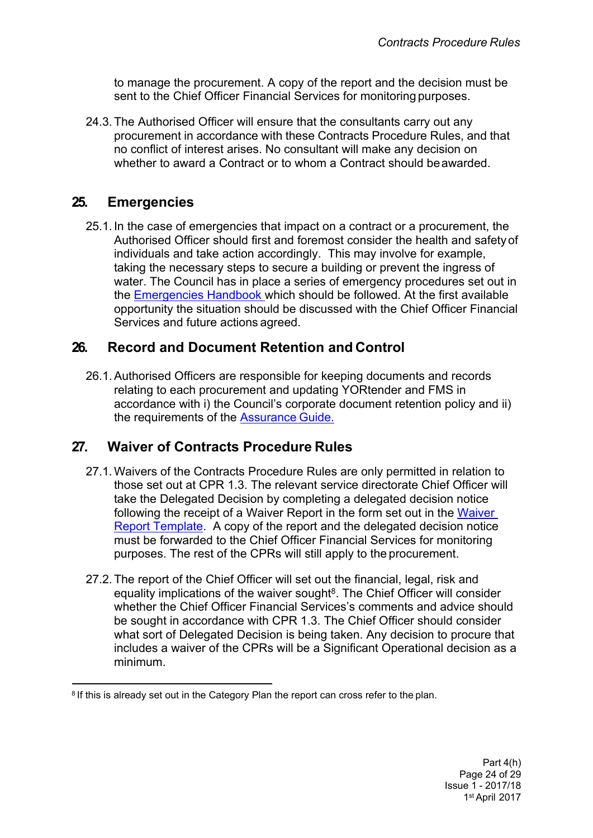to manage the procurement. A copy of the report and the decision must be sent to the Chief Officer Financial Services for monitoring purposes.

24.3. The Authorised Officer will ensure that the consultants carry out any procurement in accordance with these Contracts Procedure Rules, and that no conflict of interest arises. No consultant will make any decision on whether to award a Contract or to whom a Contract should beawarded.

## <span id="page-25-0"></span>**25. Emergencies**

25.1. In the case of emergencies that impact on a contract or a procurement, the Authorised Officer should first and foremost consider the health and safetyof individuals and take action accordingly. This may involve for example, taking the necessary steps to secure a building or prevent the ingress of water. The Council has in place a series of emergency procedures set out in the [Emergencies](http://insite.leeds.gov.uk/Root%20document%20library/2.%20Emergencies%20Handbook.pdf) Handbook which should be followed. At the first available opportunity the situation should be discussed with the Chief Officer Financial Services and future actions agreed.

## <span id="page-25-1"></span>**26. Record and Document Retention and Control**

26.1.Authorised Officers are responsible for keeping documents and records relating to each procurement and updating YORtender and FMS in accordance with i) the Council's corporate document retention policy and ii) the requirements of the [Assurance](http://teams.leeds.gov.uk/services/PublicPrivatePartnershipsUnit/constructionandhousing/HOUSING%20LEEDS/06%20-%20EFFECTIVE%20PROC/00-CPRS-STRAT-ASSURANCE%20DOCS/Assurance%20Guide/Assurance%20guide%20word09.02.15.docx) Guide.

## <span id="page-25-2"></span>**27. Waiver of Contracts Procedure Rules**

- 27.1.Waivers of the Contracts Procedure Rules are only permitted in relation to those set out at CPR 1.3. The relevant service directorate Chief Officer will take the Delegated Decision by completing a delegated decision notice following the receipt of a Waiver Report in the form set out in the [Waiver](http://insite.leeds.gov.uk/DoItOnline/Do%20it%20online%20forms/Waiver%20report%20guidance%20V3%200%20PUBLISH.docx) Report [Template.](http://insite.leeds.gov.uk/DoItOnline/Do%20it%20online%20forms/Waiver%20report%20guidance%20V3%200%20PUBLISH.docx) A copy of the report and the delegated decision notice must be forwarded to the Chief Officer Financial Services for monitoring purposes. The rest of the CPRs will still apply to the procurement.
- 27.2. The report of the Chief Officer will set out the financial, legal, risk and equality implications of the waiver sought<sup>8</sup>. The Chief Officer will consider whether the Chief Officer Financial Services's comments and advice should be sought in accordance with CPR 1.3. The Chief Officer should consider what sort of Delegated Decision is being taken. Any decision to procure that includes a waiver of the CPRs will be a Significant Operational decision as a minimum.

<sup>&</sup>lt;sup>8</sup> If this is already set out in the Category Plan the report can cross refer to the plan.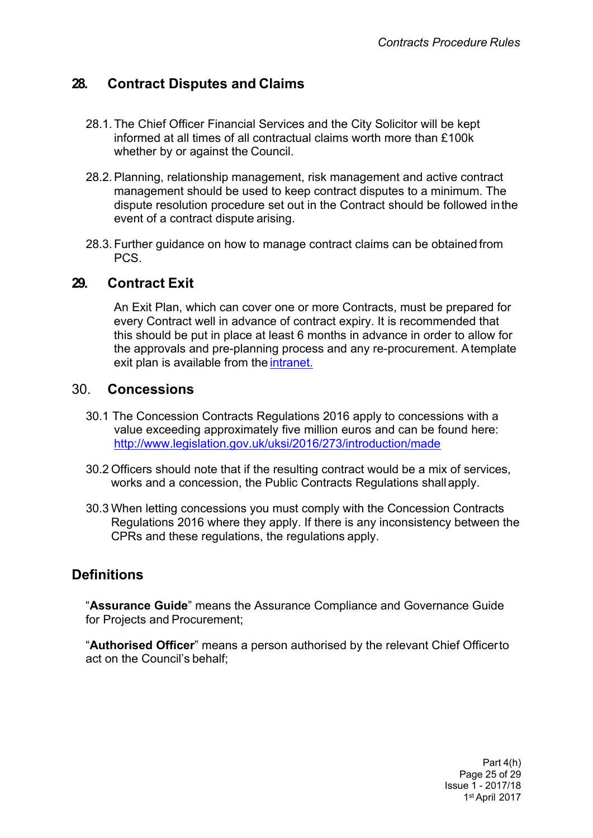## <span id="page-26-0"></span>**28. Contract Disputes and Claims**

- 28.1. The Chief Officer Financial Services and the City Solicitor will be kept informed at all times of all contractual claims worth more than £100k whether by or against the Council.
- 28.2.Planning, relationship management, risk management and active contract management should be used to keep contract disputes to a minimum. The dispute resolution procedure set out in the Contract should be followed inthe event of a contract dispute arising.
- 28.3. Further guidance on how to manage contract claims can be obtained from PCS.

### <span id="page-26-1"></span>**29. Contract Exit**

An Exit Plan, which can cover one or more Contracts, must be prepared for every Contract well in advance of contract expiry. It is recommended that this should be put in place at least 6 months in advance in order to allow for the approvals and pre-planning process and any re-procurement. Atemplate exit plan is available from the [intranet.](http://insite.leeds.gov.uk/DoItOnline/Pages/Forms-and-guidance.aspx?cat=Procuring%20and%20managing%20a%20contract)

#### 30. **Concessions**

- 30.1 The Concession Contracts Regulations 2016 apply to concessions with a value exceeding approximately five million euros and can be found here: <http://www.legislation.gov.uk/uksi/2016/273/introduction/made>
- 30.2 Officers should note that if the resulting contract would be a mix of services, works and a concession, the Public Contracts Regulations shallapply.
- 30.3 When letting concessions you must comply with the Concession Contracts Regulations 2016 where they apply. If there is any inconsistency between the CPRs and these regulations, the regulations apply.

## <span id="page-26-2"></span>**Definitions**

"**Assurance Guide**" means the Assurance Compliance and Governance Guide for Projects and Procurement;

"**Authorised Officer**" means a person authorised by the relevant Chief Officerto act on the Council's behalf;

> Part 4(h) Page 25 of 29 Issue 1 - 2017/18 1 st April 2017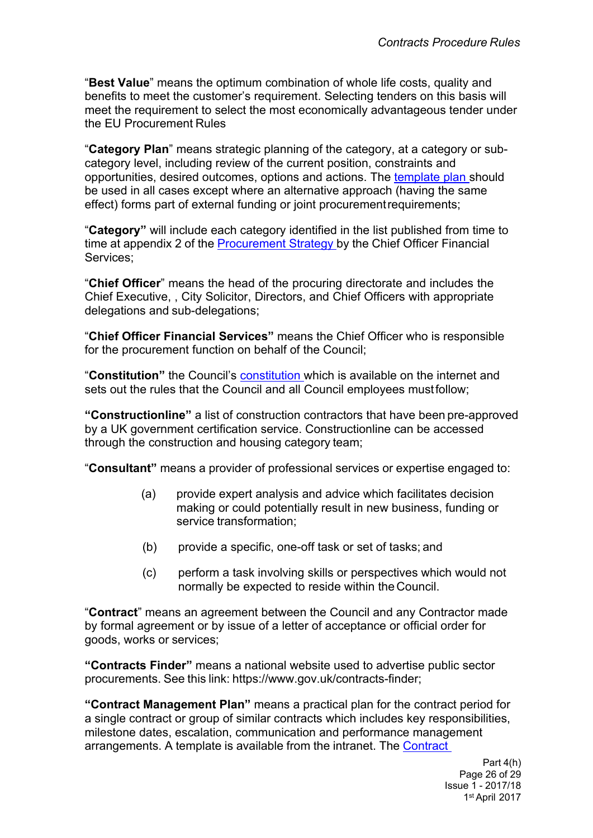"**Best Value**" means the optimum combination of whole life costs, quality and benefits to meet the customer's requirement. Selecting tenders on this basis will meet the requirement to select the most economically advantageous tender under the EU Procurement Rules

"**Category Plan**" means strategic planning of the category, at a category or subcategory level, including review of the current position, constraints and opportunities, desired outcomes, options and actions. The [template](http://insite.leeds.gov.uk/DoItOnline/Pages/default.aspx?cat=Procuring%20and%20managing%20a%20contract) plan should be used in all cases except where an alternative approach (having the same effect) forms part of external funding or joint procurementrequirements;

"**Category"** will include each category identified in the list published from time to time at appendix 2 of the [Procurement](http://www.leeds.gov.uk/docs/Procurement%20Strategy%20V1.0%20PUBLISH%2030.09.2013.pdf) Strategy by the Chief Officer Financial Services;

"**Chief Officer**" means the head of the procuring directorate and includes the Chief Executive, , City Solicitor, Directors, and Chief Officers with appropriate delegations and sub-delegations;

"**Chief Officer Financial Services"** means the Chief Officer who is responsible for the procurement function on behalf of the Council;

"**Constitution"** the Council's [constitution](http://www.leeds.gov.uk/council/Pages/Constitution.aspx) which is available on the internet and sets out the rules that the Council and all Council employees mustfollow;

**"Constructionline"** a list of construction contractors that have been pre-approved by a UK government certification service. Constructionline can be accessed through the construction and housing category team;

"**Consultant"** means a provider of professional services or expertise engaged to:

- (a) provide expert analysis and advice which facilitates decision making or could potentially result in new business, funding or service transformation;
- (b) provide a specific, one-off task or set of tasks; and
- (c) perform a task involving skills or perspectives which would not normally be expected to reside within the Council.

"**Contract**" means an agreement between the Council and any Contractor made by formal agreement or by issue of a letter of acceptance or official order for goods, works or services;

**"Contracts Finder"** means a national website used to advertise public sector procurements. See this link: [https://www.gov.uk/contracts-finder;](http://www.gov.uk/contracts-finder%3B)

**"Contract Management Plan"** means a practical plan for the contract period for a single contract or group of similar contracts which includes key responsibilities, milestone dates, escalation, communication and performance management arrangements. A template is available from the intranet. The [Contract](http://insite.leeds.gov.uk/DoItOnline/Pages/default.aspx?cat=Procuring%20and%20managing%20a%20contract)

> Part 4(h) Page 26 of 29 Issue 1 - 2017/18 1 st April 2017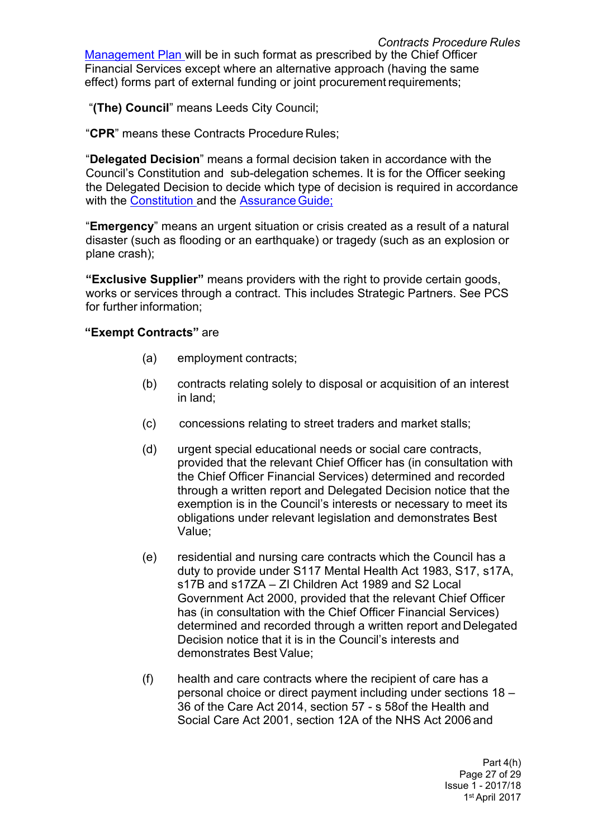[Management](http://insite.leeds.gov.uk/DoItOnline/Pages/default.aspx?cat=Procuring%20and%20managing%20a%20contract) Plan will be in such format as prescribed by the Chief Officer Financial Services except where an alternative approach (having the same effect) forms part of external funding or joint procurement requirements;

"**(The) Council**" means Leeds City Council;

"**CPR**" means these Contracts Procedure Rules;

"**Delegated Decision**" means a formal decision taken in accordance with the Council's Constitution and sub-delegation schemes. It is for the Officer seeking the Delegated Decision to decide which type of decision is required in accordance with the [Constitution](http://www.leeds.gov.uk/council/Pages/Constitution.aspx) and the Assurance Guide;

"**Emergency**" means an urgent situation or crisis created as a result of a natural disaster (such as flooding or an earthquake) or tragedy (such as an explosion or plane crash);

**"Exclusive Supplier"** means providers with the right to provide certain goods, works or services through a contract. This includes Strategic Partners. See PCS for further information;

#### **"Exempt Contracts"** are

- (a) employment contracts;
- (b) contracts relating solely to disposal or acquisition of an interest in land;
- (c) concessions relating to street traders and market stalls;
- (d) urgent special educational needs or social care contracts, provided that the relevant Chief Officer has (in consultation with the Chief Officer Financial Services) determined and recorded through a written report and Delegated Decision notice that the exemption is in the Council's interests or necessary to meet its obligations under relevant legislation and demonstrates Best Value;
- (e) residential and nursing care contracts which the Council has a duty to provide under S117 Mental Health Act 1983, S17, s17A, s17B and s17ZA – ZI Children Act 1989 and S2 Local Government Act 2000, provided that the relevant Chief Officer has (in consultation with the Chief Officer Financial Services) determined and recorded through a written report and Delegated Decision notice that it is in the Council's interests and demonstrates Best Value;
- (f) health and care contracts where the recipient of care has a personal choice or direct payment including under sections 18 – 36 of the Care Act 2014, section 57 - s 58of the Health and Social Care Act 2001, section 12A of the NHS Act 2006 and

Part 4(h) Page 27 of 29 Issue 1 - 2017/18 1 st April 2017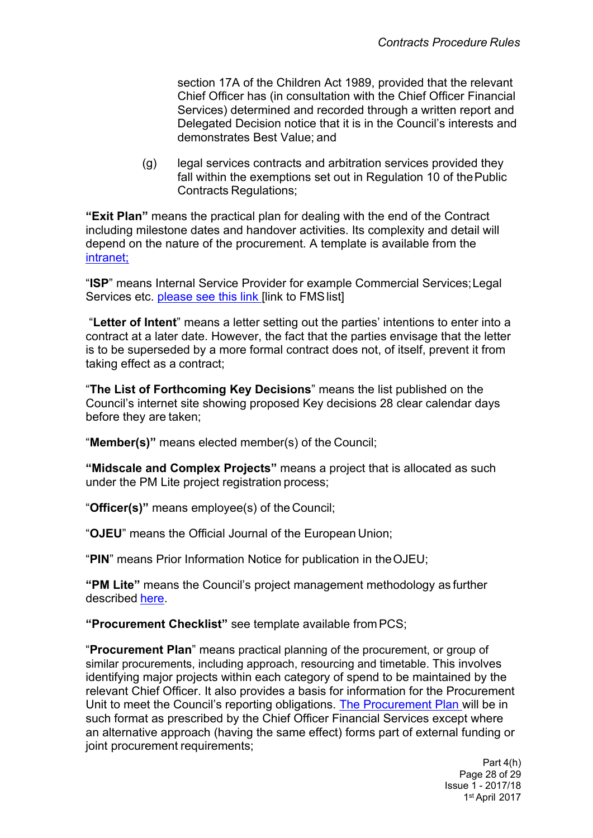section 17A of the Children Act 1989, provided that the relevant Chief Officer has (in consultation with the Chief Officer Financial Services) determined and recorded through a written report and Delegated Decision notice that it is in the Council's interests and demonstrates Best Value; and

(g) legal services contracts and arbitration services provided they fall within the exemptions set out in Regulation 10 of the Public Contracts Regulations;

**"Exit Plan"** means the practical plan for dealing with the end of the Contract including milestone dates and handover activities. Its complexity and detail will depend on the nature of the procurement. A template is available from the [intranet;](http://insite.leeds.gov.uk/DoItOnline/Pages/Forms-and-guidance.aspx?cat=Procuring%20and%20managing%20a%20contract)

"**ISP**" means Internal Service Provider for example Commercial Services;Legal Services etc. [please](http://insite.leeds.gov.uk/toolkits/Pages/Financial-management-system-(FMS)-Leeds.aspx) see this link [link to FMS list]

"**Letter of Intent**" means a letter setting out the parties' intentions to enter into a contract at a later date. However, the fact that the parties envisage that the letter is to be superseded by a more formal contract does not, of itself, prevent it from taking effect as a contract;

"**The List of Forthcoming Key Decisions**" means the list published on the Council's internet site showing proposed Key decisions 28 clear calendar days before they are taken;

"**Member(s)"** means elected member(s) of the Council;

**"Midscale and Complex Projects"** means a project that is allocated as such under the PM Lite project registration process;

"**Officer(s)"** means employee(s) of the Council;

"**OJEU**" means the Official Journal of the European Union;

"**PIN**" means Prior Information Notice for publication in theOJEU;

**"PM Lite"** means the Council's project management methodology as further described [here.](http://insite.leeds.gov.uk/toolkits/Pages/PM-lite.aspx)

**"Procurement Checklist"** see template available from PCS;

"**Procurement Plan**" means practical planning of the procurement, or group of similar procurements, including approach, resourcing and timetable. This involves identifying major projects within each category of spend to be maintained by the relevant Chief Officer. It also provides a basis for information for the Procurement Unit to meet the Council's reporting obligations. The [Procurement](http://insite.leeds.gov.uk/DoItOnline/Pages/Forms-and-guidance.aspx?cat=Procuring%20and%20managing%20a%20contract) Plan will be in such format as prescribed by the Chief Officer Financial Services except where an alternative approach (having the same effect) forms part of external funding or joint procurement requirements;

> Part 4(h) Page 28 of 29 Issue 1 - 2017/18 1 st April 2017